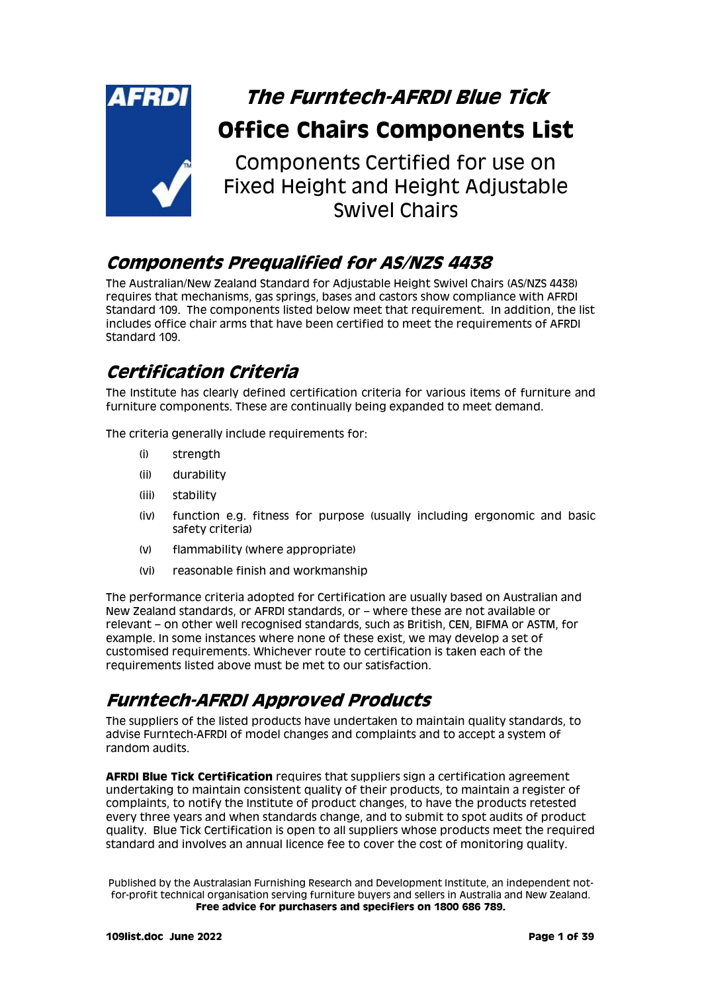

Components Certified for use on Fixed Height and Height Adjustable Swivel Chairs

# **Components Prequalified for AS/NZS 4438**

The Australian/New Zealand Standard for Adjustable Height Swivel Chairs (AS/NZS 4438) requires that mechanisms, gas springs, bases and castors show compliance with AFRDI Standard 109. The components listed below meet that requirement. In addition, the list includes office chair arms that have been certified to meet the requirements of AFRDI Standard 109.

# **Certification Criteria**

The Institute has clearly defined certification criteria for various items of furniture and furniture components. These are continually being expanded to meet demand.

The criteria generally include requirements for:

- (i) strength
- (ii) durability
- (iii) stability
- (iv) function e.g. fitness for purpose (usually including ergonomic and basic safety criteria)
- (v) flammability (where appropriate)
- (vi) reasonable finish and workmanship

The performance criteria adopted for Certification are usually based on Australian and New Zealand standards, or AFRDI standards, or – where these are not available or relevant – on other well recognised standards, such as British, CEN, BIFMA or ASTM, for example. In some instances where none of these exist, we may develop a set of customised requirements. Whichever route to certification is taken each of the requirements listed above must be met to our satisfaction.

# **Furntech-AFRDI Approved Products**

The suppliers of the listed products have undertaken to maintain quality standards, to advise Furntech-AFRDI of model changes and complaints and to accept a system of random audits.

**AFRDI Blue Tick Certification** requires that suppliers sign a certification agreement undertaking to maintain consistent quality of their products, to maintain a register of complaints, to notify the Institute of product changes, to have the products retested every three years and when standards change, and to submit to spot audits of product quality. Blue Tick Certification is open to all suppliers whose products meet the required standard and involves an annual licence fee to cover the cost of monitoring quality.

Published by the Australasian Furnishing Research and Development Institute, an independent notfor-profit technical organisation serving furniture buyers and sellers in Australia and New Zealand. **Free advice for purchasers and specifiers on 1800 686 789.**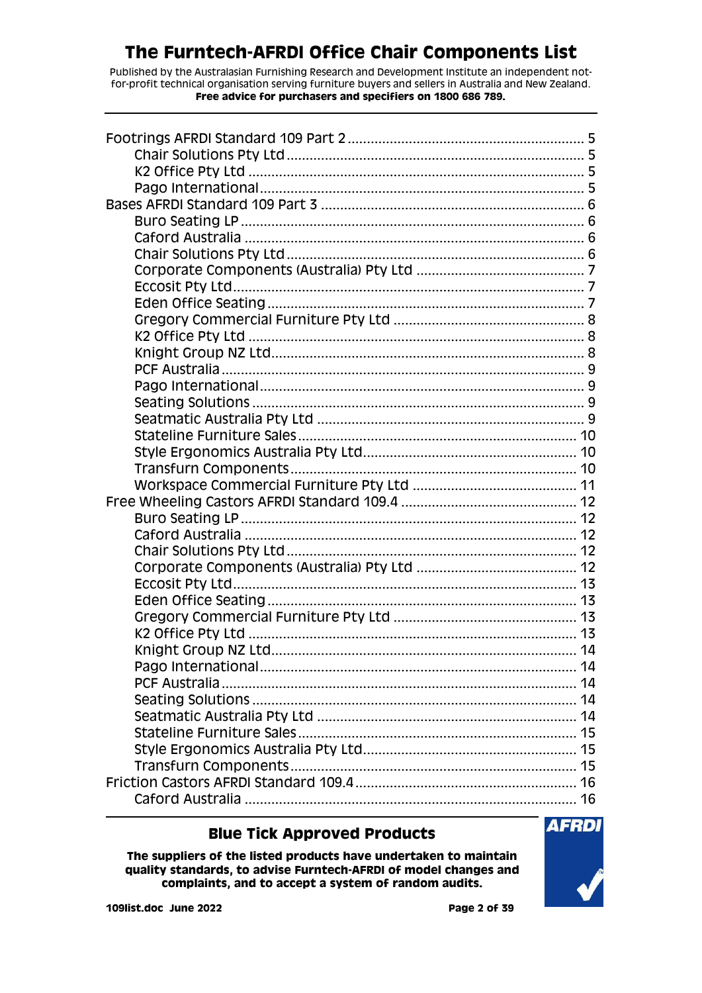Published by the Australasian Furnishing Research and Development Institute an independent notfor-profit technical organisation serving furniture buyers and sellers in Australia and New Zealand. **Free advice for purchasers and specifiers on 1800 686 789.**

| 14 |
|----|
|    |
|    |
|    |
|    |
|    |
|    |
|    |
|    |
|    |

#### **Blue Tick Approved Products**

**The suppliers of the listed products have undertaken to maintain quality standards, to advise Furntech-AFRDI of model changes and complaints, and to accept a system of random audits.**

**AFRDI**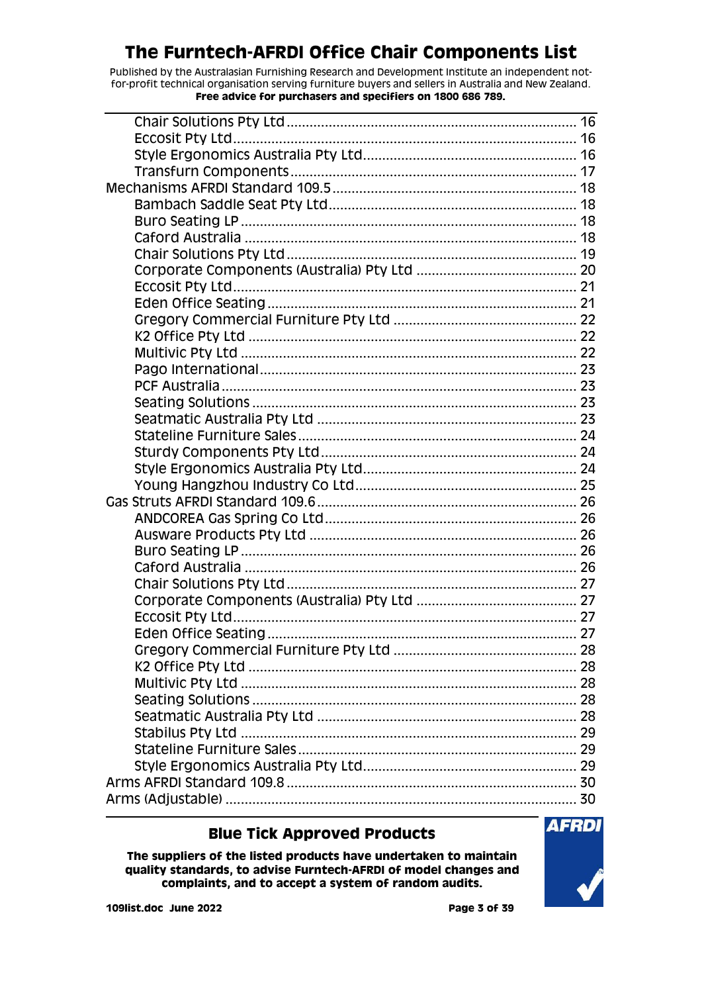Published by the Australasian Furnishing Research and Development Institute an independent notfor-profit technical organisation serving furniture buyers and sellers in Australia and New Zealand. **Free advice for purchasers and specifiers on 1800 686 789.**

### **Blue Tick Approved Products**

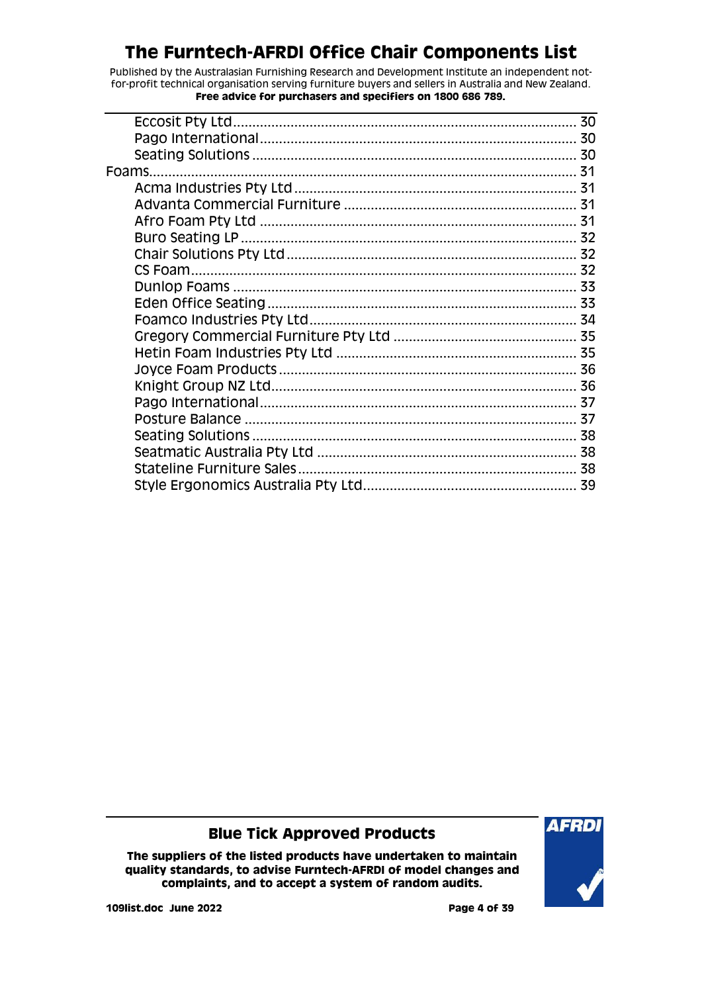Published by the Australasian Furnishing Research and Development Institute an independent notfor-profit technical organisation serving furniture buyers and sellers in Australia and New Zealand. **Free advice for purchasers and specifiers on 1800 686 789.**

| Foams. |  |
|--------|--|
|        |  |
|        |  |
|        |  |
|        |  |
|        |  |
|        |  |
|        |  |
|        |  |
|        |  |
|        |  |
|        |  |
|        |  |
|        |  |
|        |  |
|        |  |
|        |  |
|        |  |
|        |  |
|        |  |
|        |  |

### **Blue Tick Approved Products**

**The suppliers of the listed products have undertaken to maintain quality standards, to advise Furntech-AFRDI of model changes and complaints, and to accept a system of random audits.**



**109list.doc June 2022 Page 4 of 39**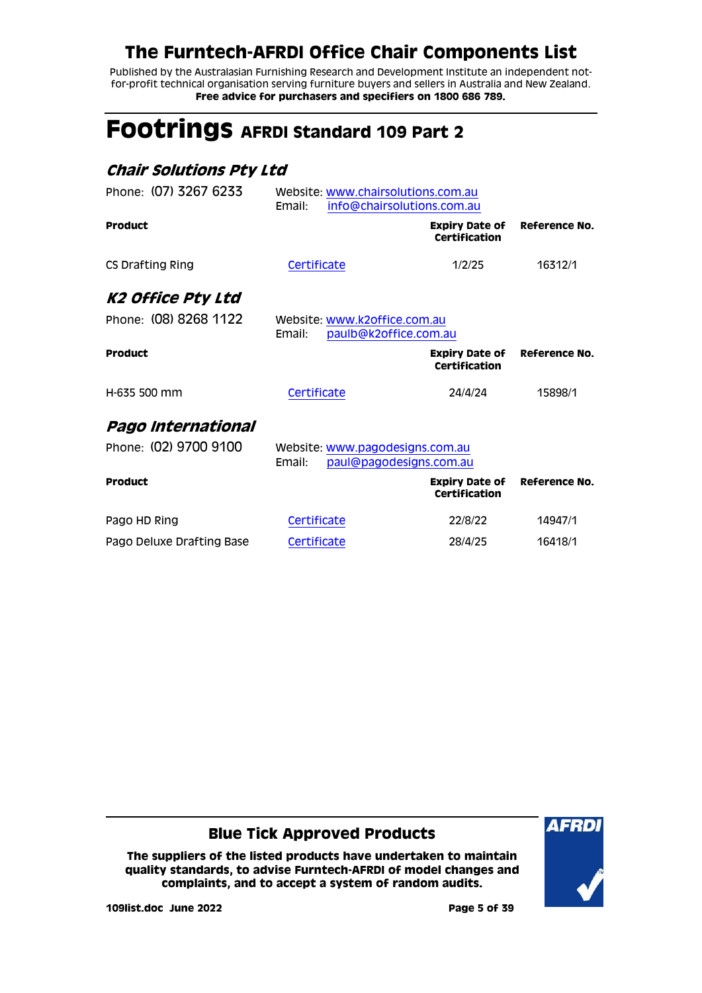Published by the Australasian Furnishing Research and Development Institute an independent notfor-profit technical organisation serving furniture buyers and sellers in Australia and New Zealand. **Free advice for purchasers and specifiers on 1800 686 789.**

# <span id="page-4-0"></span>**Footrings AFRDI Standard 109 Part 2**

#### <span id="page-4-1"></span>**Chair Solutions Pty Ltd**

<span id="page-4-3"></span><span id="page-4-2"></span>

| Website: www.chairsolutions.com.au<br>Email:<br>info@chairsolutions.com.au |                                        |                                                                                                                     |  |
|----------------------------------------------------------------------------|----------------------------------------|---------------------------------------------------------------------------------------------------------------------|--|
|                                                                            | <b>Expiry Date of</b><br>Certification | Reference No.                                                                                                       |  |
| Certificate                                                                | 1/2/25                                 | 16312/1                                                                                                             |  |
|                                                                            |                                        |                                                                                                                     |  |
| Email:                                                                     |                                        |                                                                                                                     |  |
|                                                                            | <b>Expiry Date of</b><br>Certification | Reference No.                                                                                                       |  |
| Certificate                                                                | 24/4/24                                | 15898/1                                                                                                             |  |
|                                                                            |                                        |                                                                                                                     |  |
| Email:                                                                     |                                        |                                                                                                                     |  |
|                                                                            | <b>Expiry Date of</b><br>Certification | Reference No.                                                                                                       |  |
| Certificate                                                                | 22/8/22                                | 14947/1                                                                                                             |  |
| Certificate                                                                | 28/4/25                                | 16418/1                                                                                                             |  |
|                                                                            |                                        | Website: www.k2office.com.au<br>paulb@k2office.com.au<br>Website: www.pagodesigns.com.au<br>paul@pagodesigns.com.au |  |

#### **Blue Tick Approved Products**

**The suppliers of the listed products have undertaken to maintain quality standards, to advise Furntech-AFRDI of model changes and complaints, and to accept a system of random audits.**



**109list.doc June 2022 Page 5 of 39**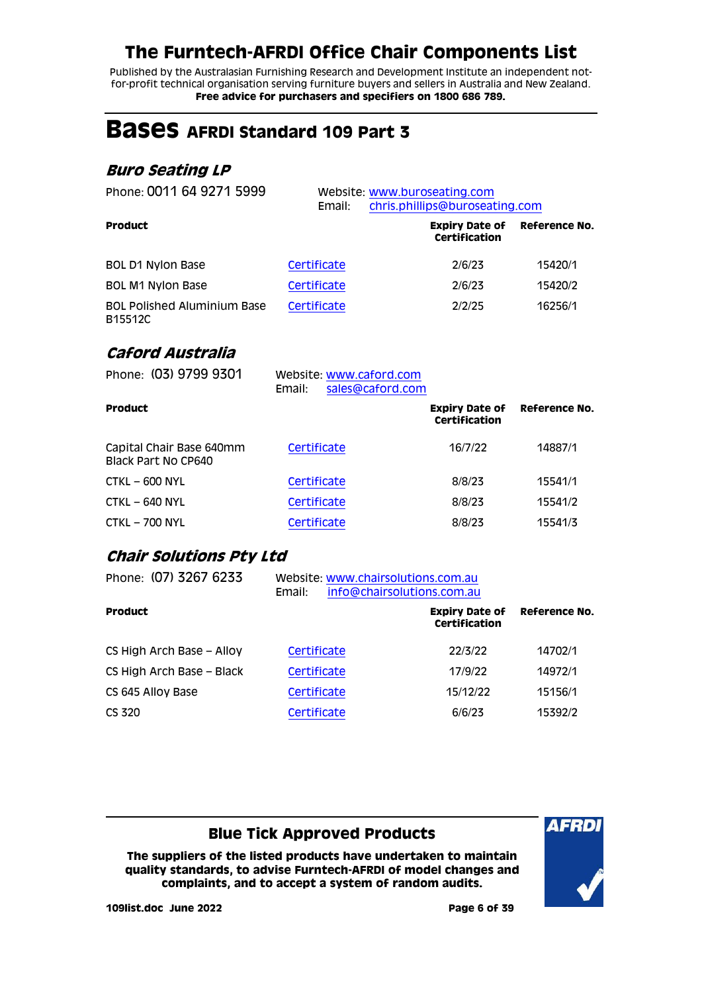Published by the Australasian Furnishing Research and Development Institute an independent notfor-profit technical organisation serving furniture buyers and sellers in Australia and New Zealand. **Free advice for purchasers and specifiers on 1800 686 789.**

# <span id="page-5-0"></span>**Bases AFRDI Standard 109 Part 3**

### <span id="page-5-1"></span>**Buro Seating LP**

| Phone: 0011 64 9271 5999                      | Email:      | Website: www.buroseating.com<br>chris.phillips@buroseating.com |               |
|-----------------------------------------------|-------------|----------------------------------------------------------------|---------------|
| <b>Product</b>                                |             | <b>Expiry Date of</b><br>Certification                         | Reference No. |
| BOL D1 Nylon Base                             | Certificate | 2/6/23                                                         | 15420/1       |
| <b>BOL M1 Nylon Base</b>                      | Certificate | 2/6/23                                                         | 15420/2       |
| <b>BOL Polished Aluminium Base</b><br>B15512C | Certificate | 2/2/25                                                         | 16256/1       |

#### <span id="page-5-2"></span>**Caford Australia**

| Phone: (03) 9799 9301                           | Website: www.caford.com<br>sales@caford.com<br>Email: |                                                      |         |
|-------------------------------------------------|-------------------------------------------------------|------------------------------------------------------|---------|
| <b>Product</b>                                  |                                                       | <b>Expiry Date of Reference No.</b><br>Certification |         |
| Capital Chair Base 640mm<br>Black Part No CP640 | Certificate                                           | 16/7/22                                              | 14887/1 |
| $CTKL - 600 NYL$                                | Certificate                                           | 8/8/23                                               | 15541/1 |
| $CTKL - 640 NYL$                                | Certificate                                           | 8/8/23                                               | 15541/2 |
| <b>CTKL - 700 NYL</b>                           | Certificate                                           | 8/8/23                                               | 15541/3 |

### <span id="page-5-3"></span>**Chair Solutions Pty Ltd**

| Phone: (07) 3267 6233     | Website: www.chairsolutions.com.au<br>info@chairsolutions.com.au<br>Email: |                                        |                      |  |
|---------------------------|----------------------------------------------------------------------------|----------------------------------------|----------------------|--|
| <b>Product</b>            |                                                                            | <b>Expiry Date of</b><br>Certification | <b>Reference No.</b> |  |
| CS High Arch Base - Alloy | Certificate                                                                | 22/3/22                                | 14702/1              |  |
| CS High Arch Base - Black | Certificate                                                                | 17/9/22                                | 14972/1              |  |
| CS 645 Alloy Base         | Certificate                                                                | 15/12/22                               | 15156/1              |  |
| CS 320                    | Certificate                                                                | 6/6/23                                 | 15392/2              |  |
|                           |                                                                            |                                        |                      |  |

### **Blue Tick Approved Products**

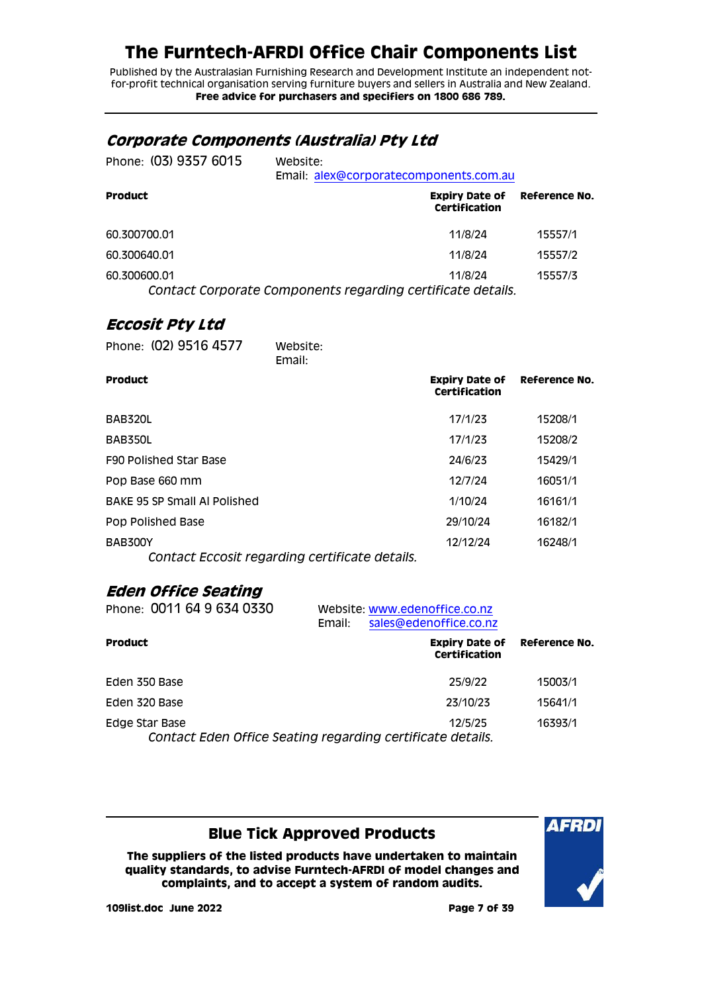Published by the Australasian Furnishing Research and Development Institute an independent notfor-profit technical organisation serving furniture buyers and sellers in Australia and New Zealand. **Free advice for purchasers and specifiers on 1800 686 789.**

#### <span id="page-6-0"></span>**Corporate Components (Australia) Pty Ltd**

| Phone: (03) 9357 6015 | Website:<br>Email: alex@corporatecomponents.com.au                     |         |
|-----------------------|------------------------------------------------------------------------|---------|
| <b>Product</b>        | <b>Expiry Date of Reference No.</b><br>Certification                   |         |
| 60.300700.01          | 11/8/24                                                                | 15557/1 |
| 60.300640.01          | 11/8/24                                                                | 15557/2 |
| 60.300600.01          | 11/8/24<br>Contact Corporate Components regarding certificate details. | 15557/3 |

#### <span id="page-6-1"></span>**Eccosit Pty Ltd**

| Phone: (02) 9516 4577                                            | Website:<br>Email: |                                        |               |
|------------------------------------------------------------------|--------------------|----------------------------------------|---------------|
| <b>Product</b>                                                   |                    | <b>Expiry Date of</b><br>Certification | Reference No. |
| BAB320L                                                          |                    | 17/1/23                                | 15208/1       |
| BAB350L                                                          |                    | 17/1/23                                | 15208/2       |
| F90 Polished Star Base                                           |                    | 24/6/23                                | 15429/1       |
| Pop Base 660 mm                                                  |                    | 12/7/24                                | 16051/1       |
| <b>BAKE 95 SP Small AI Polished</b>                              |                    | 1/10/24                                | 16161/1       |
| Pop Polished Base                                                |                    | 29/10/24                               | 16182/1       |
| <b>BAB300Y</b><br>Contact Eccosit regarding certificate details. |                    | 12/12/24                               | 16248/1       |

#### <span id="page-6-2"></span>**Eden Office Seating**

| Phone: 0011 64 9 634 0330                                                    | Email: | Website: www.edenoffice.co.nz<br>sales@edenoffice.co.nz |                      |
|------------------------------------------------------------------------------|--------|---------------------------------------------------------|----------------------|
| Product                                                                      |        | <b>Expiry Date of</b><br>Certification                  | <b>Reference No.</b> |
| Eden 350 Base                                                                |        | 25/9/22                                                 | 15003/1              |
| Eden 320 Base                                                                |        | 23/10/23                                                | 15641/1              |
| Edge Star Base<br>Contact Eden Office Seating regarding certificate details. |        | 12/5/25                                                 | 16393/1              |

### **Blue Tick Approved Products**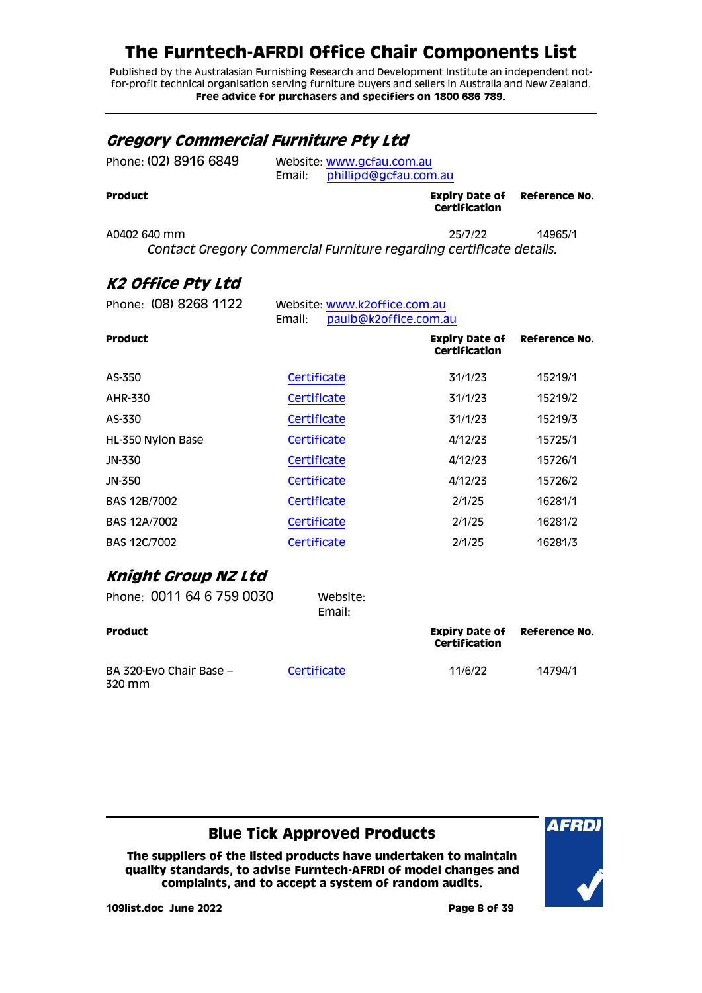Published by the Australasian Furnishing Research and Development Institute an independent notfor-profit technical organisation serving furniture buyers and sellers in Australia and New Zealand. **Free advice for purchasers and specifiers on 1800 686 789.**

### <span id="page-7-0"></span>**Gregory Commercial Furniture Pty Ltd**

| <b>Product</b>        |                                                           | <b>Expiry Date of Reference No.</b><br>Certification |  |
|-----------------------|-----------------------------------------------------------|------------------------------------------------------|--|
| Phone: (02) 8916 6849 | Website: www.gcfau.com.au<br>Email: phillipd@gcfau.com.au |                                                      |  |

A0402 640 mm 25/7/22 14965/1 *Contact Gregory Commercial Furniture regarding certificate details.*

### <span id="page-7-1"></span>**K2 Office Pty Ltd**

| Phone: (08) 8268 1122<br>Website: www.k2office.com.au<br>Email:<br>paulb@k2office.com.au |                    |                                        |               |
|------------------------------------------------------------------------------------------|--------------------|----------------------------------------|---------------|
| <b>Product</b>                                                                           |                    | <b>Expiry Date of</b><br>Certification | Reference No. |
| AS-350                                                                                   | Certificate        | 31/1/23                                | 15219/1       |
| AHR-330                                                                                  | Certificate        | 31/1/23                                | 15219/2       |
| AS-330                                                                                   | Certificate        | 31/1/23                                | 15219/3       |
| HL-350 Nylon Base                                                                        | Certificate        | 4/12/23                                | 15725/1       |
| JN-330                                                                                   | Certificate        | 4/12/23                                | 15726/1       |
| JN-350                                                                                   | Certificate        | 4/12/23                                | 15726/2       |
| BAS 12B/7002                                                                             | Certificate        | 2/1/25                                 | 16281/1       |
| <b>BAS 12A/7002</b>                                                                      | Certificate        | 2/1/25                                 | 16281/2       |
| <b>BAS 12C/7002</b>                                                                      | Certificate        | 2/1/25                                 | 16281/3       |
| Knight Group NZ Ltd                                                                      |                    |                                        |               |
| Phone: 0011 64 6 759 0030                                                                | Website:<br>Email: |                                        |               |

<span id="page-7-2"></span>

| Product                           |             | Expiry Date of<br>Certification | Reference No. |
|-----------------------------------|-------------|---------------------------------|---------------|
| BA 320-Evo Chair Base -<br>320 mm | Certificate | 11/6/22                         | 14794/1       |

### **Blue Tick Approved Products**

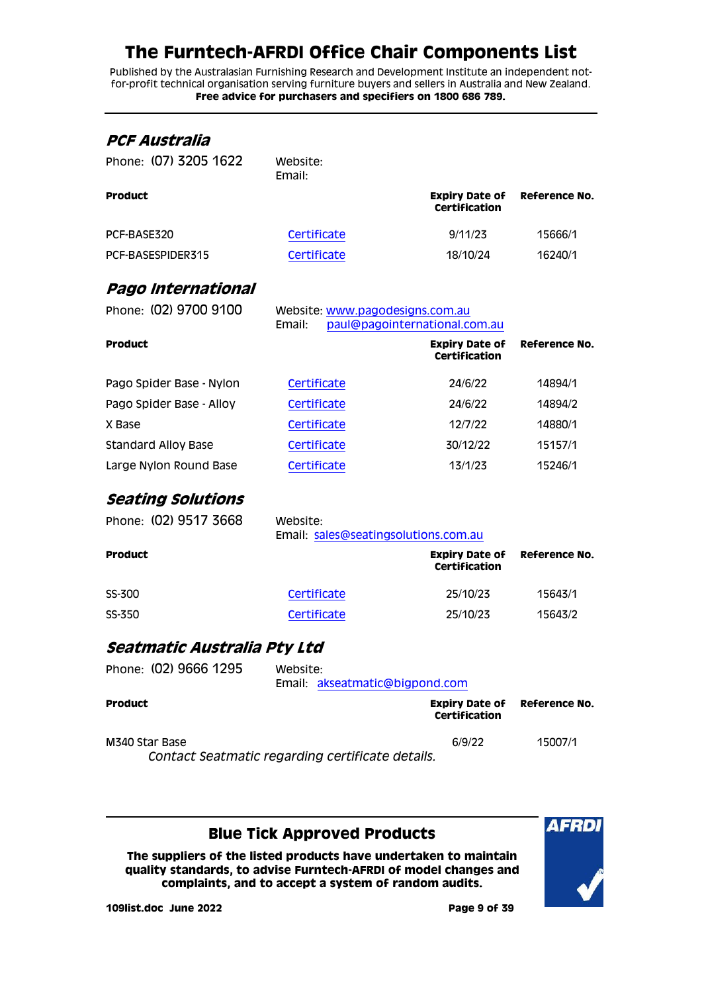Published by the Australasian Furnishing Research and Development Institute an independent notfor-profit technical organisation serving furniture buyers and sellers in Australia and New Zealand. **Free advice for purchasers and specifiers on 1800 686 789.**

<span id="page-8-2"></span><span id="page-8-1"></span><span id="page-8-0"></span>

| PCF Australia                   |                                                  |                                               |                  |
|---------------------------------|--------------------------------------------------|-----------------------------------------------|------------------|
| Phone: (07) 3205 1622           | Website:<br>Email:                               |                                               |                  |
| Product                         |                                                  | <b>Expiry Date of</b><br>Certification        | <b>Reference</b> |
| PCF-BASE320                     | Certificate                                      | 9/11/23                                       | 15666/1          |
| PCF-BASESPIDER315               | Certificate                                      | 18/10/24                                      | 16240/1          |
| Pago International              |                                                  |                                               |                  |
| Phone: (02) 9700 9100           | Website: www.pagodesigns.com.au<br>Email:        | paul@pagointernational.com.au                 |                  |
| Product                         |                                                  | <b>Expiry Date of</b><br><b>Certification</b> | <b>Reference</b> |
| Pago Spider Base - Nylon        | Certificate                                      | 24/6/22                                       | 14894/1          |
| Pago Spider Base - Alloy        | Certificate                                      | 24/6/22                                       | 14894/2          |
| X Base                          | Certificate                                      | 12/7/22                                       | 14880/1          |
| Standard Alloy Base             | Certificate                                      | 30/12/22                                      | 15157/1          |
| Large Nylon Round Base          | Certificate                                      | 13/1/23                                       | 15246/1          |
| <i><b>Seating Solutions</b></i> |                                                  |                                               |                  |
| Phone: (02) 9517 3668           | Website:<br>Email: sales@seatingsolutions.com.au |                                               |                  |
| Product                         |                                                  | <b>Expiry Date of</b><br><b>Certification</b> | <b>Reference</b> |
| SS-300                          | Certificate                                      | 25/10/23                                      | 15643/1          |
| SS-350                          | Certificate                                      | 25/10/23                                      | 15643/2          |
| Seatmatic Australia Pty Ltd     |                                                  |                                               |                  |
| Phone: (02) 9666 1295           | Website:<br>Email: akseatmatic@bigpond.com       |                                               |                  |
| Product                         |                                                  | <b>Expiry Date of</b><br><b>Certification</b> | <b>Reference</b> |
| M340 Star Base                  | Contact Seatmatic regarding certificate details. | 6/9/22                                        | 15007/1          |
|                                 |                                                  |                                               |                  |

<span id="page-8-3"></span>**Blue Tick Approved Products**

**The suppliers of the listed products have undertaken to maintain quality standards, to advise Furntech-AFRDI of model changes and complaints, and to accept a system of random audits.**



**Reference No.**

**No.** 

**No.** 

**No.** 

**109list.doc June 2022 Page 9 of 39**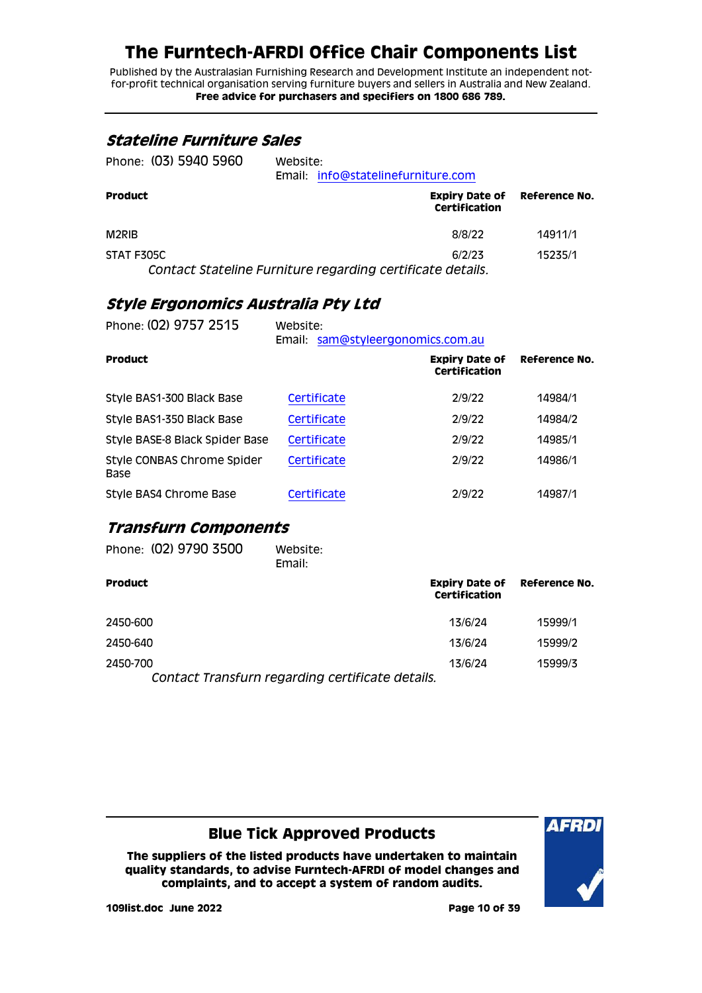Published by the Australasian Furnishing Research and Development Institute an independent notfor-profit technical organisation serving furniture buyers and sellers in Australia and New Zealand. **Free advice for purchasers and specifiers on 1800 686 789.**

#### <span id="page-9-0"></span>**Stateline Furniture Sales**

| Phone: (03) 5940 5960 | Website: | Email: info@statelinefurniture.com                   |         |  |
|-----------------------|----------|------------------------------------------------------|---------|--|
| <b>Product</b>        |          | <b>Expiry Date of Reference No.</b><br>Certification |         |  |
| M2RIB                 |          | 8/8/22                                               | 14911/1 |  |
| STAT F305C            |          | 6/2/23                                               | 15235/1 |  |

*Contact Stateline Furniture regarding certificate details.*

#### <span id="page-9-1"></span>**Style Ergonomics Australia Pty Ltd**

| Phone: (02) 9757 2515              | Website:<br>Email: sam@styleergonomics.com.au |                                        |               |
|------------------------------------|-----------------------------------------------|----------------------------------------|---------------|
| <b>Product</b>                     |                                               | <b>Expiry Date of</b><br>Certification | Reference No. |
| Style BAS1-300 Black Base          | Certificate                                   | 2/9/22                                 | 14984/1       |
| Style BAS1-350 Black Base          | Certificate                                   | 2/9/22                                 | 14984/2       |
| Style BASE-8 Black Spider Base     | Certificate                                   | 2/9/22                                 | 14985/1       |
| Style CONBAS Chrome Spider<br>Base | Certificate                                   | 2/9/22                                 | 14986/1       |
| Style BAS4 Chrome Base             | Certificate                                   | 2/9/22                                 | 14987/1       |

#### <span id="page-9-2"></span>**Transfurn Components**

| Phone: (02) 9790 3500                                        | Website:<br>Email: |               |                                     |
|--------------------------------------------------------------|--------------------|---------------|-------------------------------------|
| <b>Product</b>                                               |                    | Certification | <b>Expiry Date of Reference No.</b> |
| 2450-600                                                     |                    | 13/6/24       | 15999/1                             |
| 2450-640                                                     |                    | 13/6/24       | 15999/2                             |
| 2450-700<br>Contact Transfurn regarding certificate details. |                    | 13/6/24       | 15999/3                             |

### **Blue Tick Approved Products**

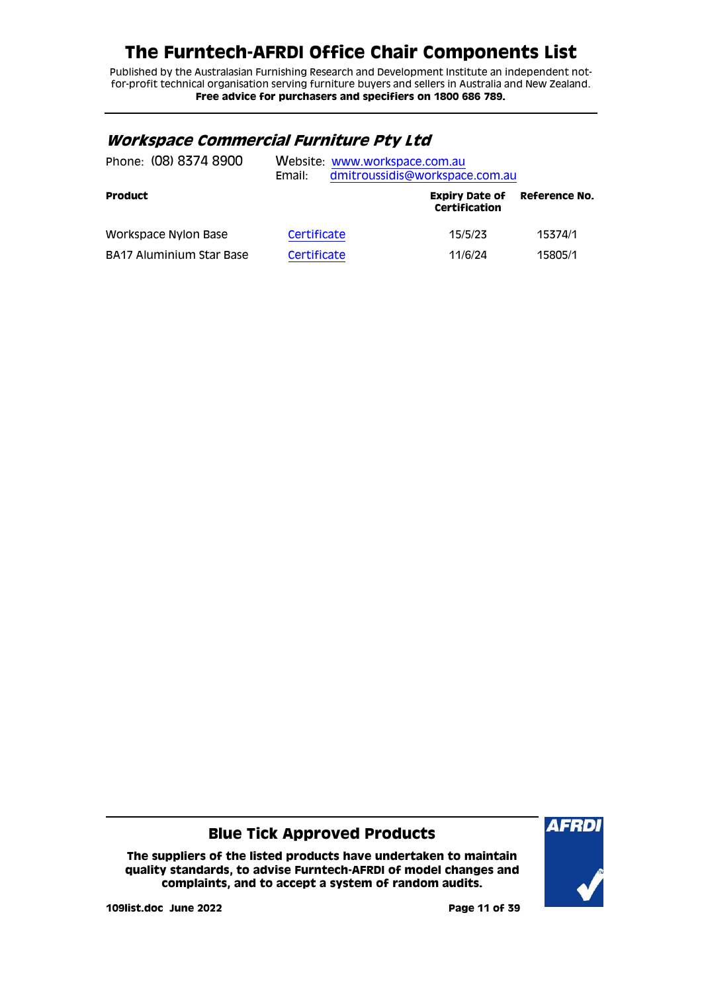Published by the Australasian Furnishing Research and Development Institute an independent notfor-profit technical organisation serving furniture buyers and sellers in Australia and New Zealand. **Free advice for purchasers and specifiers on 1800 686 789.**

#### <span id="page-10-0"></span>**Workspace Commercial Furniture Pty Ltd**

| Phone: (08) 8374 8900    | Email:      | Website: www.workspace.com.au<br>dmitroussidis@workspace.com.au |               |
|--------------------------|-------------|-----------------------------------------------------------------|---------------|
| <b>Product</b>           |             | <b>Expiry Date of</b><br>Certification                          | Reference No. |
| Workspace Nylon Base     | Certificate | 15/5/23                                                         | 15374/1       |
| BA17 Aluminium Star Base | Certificate | 11/6/24                                                         | 15805/1       |

#### **Blue Tick Approved Products**

**The suppliers of the listed products have undertaken to maintain quality standards, to advise Furntech-AFRDI of model changes and complaints, and to accept a system of random audits.**



**109list.doc June 2022 Page 11 of 39**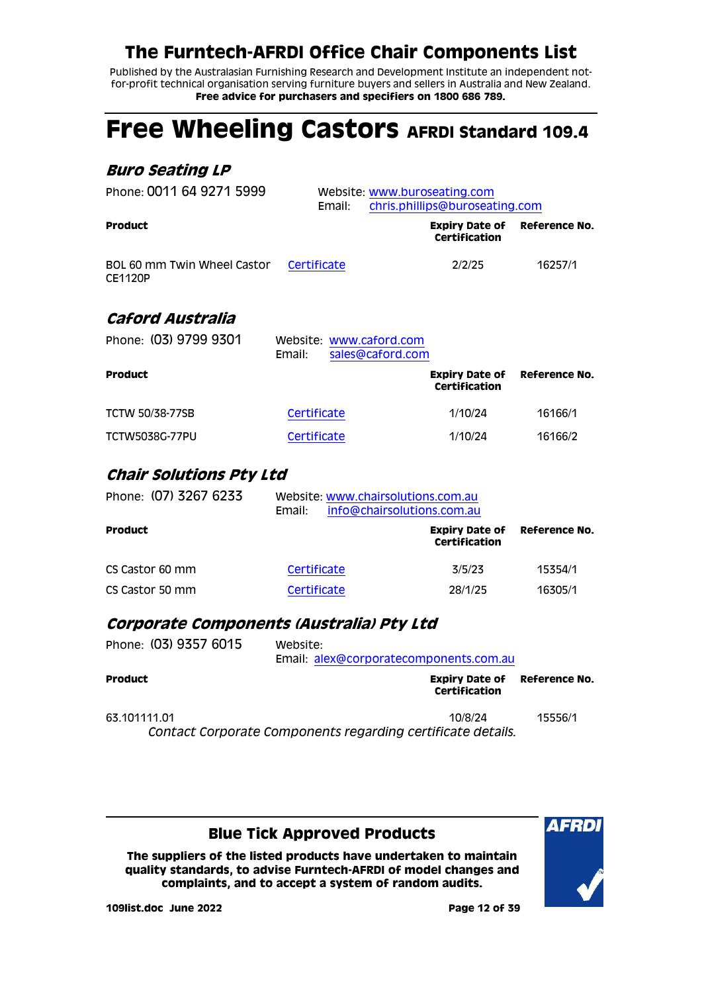Published by the Australasian Furnishing Research and Development Institute an independent notfor-profit technical organisation serving furniture buyers and sellers in Australia and New Zealand. **Free advice for purchasers and specifiers on 1800 686 789.**

# <span id="page-11-0"></span>**Free Wheeling Castors AFRDI Standard 109.4**

### <span id="page-11-1"></span>**Buro Seating LP**

<span id="page-11-2"></span>

| Phone: 0011 64 9271 5999                      | Website: www.buroseating.com<br>chris.phillips@buroseating.com<br>Email: |                                               |               |
|-----------------------------------------------|--------------------------------------------------------------------------|-----------------------------------------------|---------------|
| <b>Product</b>                                |                                                                          | <b>Expiry Date of</b><br>Certification        | Reference No. |
| BOL 60 mm Twin Wheel Castor<br><b>CE1120P</b> | Certificate                                                              | 2/2/25                                        | 16257/1       |
| Caford Australia                              |                                                                          |                                               |               |
| Phone: (03) 9799 9301                         | Website: www.caford.com<br>Email:<br>sales@caford.com                    |                                               |               |
| <b>Product</b>                                |                                                                          | <b>Expiry Date of</b><br><b>Certification</b> | Reference No. |
| <b>TCTW 50/38-77SB</b>                        | Certificate                                                              | 1/10/24                                       | 16166/1       |
| <b>TCTW5038G-77PU</b>                         | Certificate                                                              | 1/10/24                                       | 16166/2       |
| <b>Chair Solutions Pty Ltd</b>                |                                                                          |                                               |               |
| Phone: (07) 3267 6233                         | Website: www.chairsolutions.com.au<br>Email:                             | info@chairsolutions.com.au                    |               |
| <b>Product</b>                                |                                                                          | <b>Expiry Date of</b><br><b>Certification</b> | Reference No. |
| CS Castor 60 mm                               | Certificate                                                              | 3/5/23                                        | 15354/1       |
| CS Castor 50 mm                               | Certificate                                                              | 28/1/25                                       | 16305/1       |

#### <span id="page-11-4"></span><span id="page-11-3"></span>**Corporate Components (Australia) Pty Ltd**

| Phone: (03) 9357 6015 | Website:<br>Email: alex@corporatecomponents.com.au          |               |
|-----------------------|-------------------------------------------------------------|---------------|
| <b>Product</b>        | <b>Expiry Date of</b><br>Certification                      | Reference No. |
| 63.101111.01          | 10/8/24                                                     | 15556/1       |
|                       | Contact Corporate Components regarding certificate details. |               |

#### **Blue Tick Approved Products**

**The suppliers of the listed products have undertaken to maintain quality standards, to advise Furntech-AFRDI of model changes and complaints, and to accept a system of random audits.**



**109list.doc June 2022 Page 12 of 39**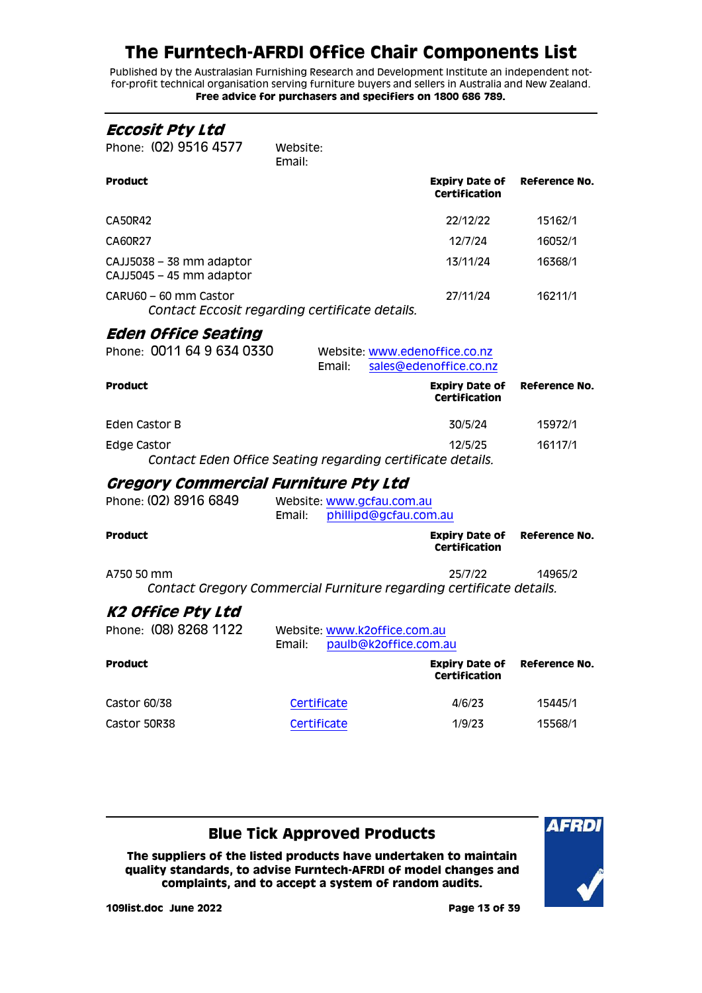Published by the Australasian Furnishing Research and Development Institute an independent notfor-profit technical organisation serving furniture buyers and sellers in Australia and New Zealand. **Free advice for purchasers and specifiers on 1800 686 789.**

<span id="page-12-2"></span><span id="page-12-1"></span><span id="page-12-0"></span>

| Eccosit Pty Ltd                                      |                                                                     |                                               |               |
|------------------------------------------------------|---------------------------------------------------------------------|-----------------------------------------------|---------------|
| Phone: (02) 9516 4577                                | Website:<br>Email:                                                  |                                               |               |
| Product                                              |                                                                     | <b>Expiry Date of</b><br><b>Certification</b> | Reference No. |
| CA50R42                                              |                                                                     | 22/12/22                                      | 15162/1       |
| CA60R27                                              |                                                                     | 12/7/24                                       | 16052/1       |
| CAJJ5038 - 38 mm adaptor<br>CAJJ5045 - 45 mm adaptor |                                                                     | 13/11/24                                      | 16368/1       |
| CARU60 - 60 mm Castor                                | Contact Eccosit regarding certificate details.                      | 27/11/24                                      | 16211/1       |
| <i><b>Eden Office Seating</b></i>                    |                                                                     |                                               |               |
| Phone: 0011 64 9 634 0330                            | Website: www.edenoffice.co.nz<br>Email:                             | sales@edenoffice.co.nz                        |               |
| <b>Product</b>                                       |                                                                     | <b>Expiry Date of</b><br><b>Certification</b> | Reference No. |
| Eden Castor B                                        |                                                                     | 30/5/24                                       | 15972/1       |
| <b>Edge Castor</b>                                   | Contact Eden Office Seating regarding certificate details.          | 12/5/25                                       | 16117/1       |
| <i><b>Gregory Commercial Furniture Pty Ltd</b></i>   |                                                                     |                                               |               |
| Phone: (02) 8916 6849                                | Website: www.gcfau.com.au<br>phillipd@gcfau.com.au<br>Email:        |                                               |               |
| Product                                              |                                                                     | <b>Expiry Date of</b><br><b>Certification</b> | Reference No. |
| A750 50 mm                                           | Contact Gregory Commercial Furniture regarding certificate details. | 25/7/22                                       | 14965/2       |
| K2 Office Pty Ltd                                    |                                                                     |                                               |               |
| Phone: (08) 8268 1122                                | Website: www.k2office.com.au<br>Email: paulb@k2office.com.au        |                                               |               |
| Product                                              |                                                                     | <b>Expiry Date of</b><br>Certification        | Reference No. |
| Castor 60/38                                         | Certificate                                                         | 4/6/23                                        | 15445/1       |
| Castor 50R38                                         | Certificate                                                         | 1/9/23                                        | 15568/1       |
|                                                      |                                                                     |                                               |               |

#### <span id="page-12-3"></span>**Blue Tick Approved Products**

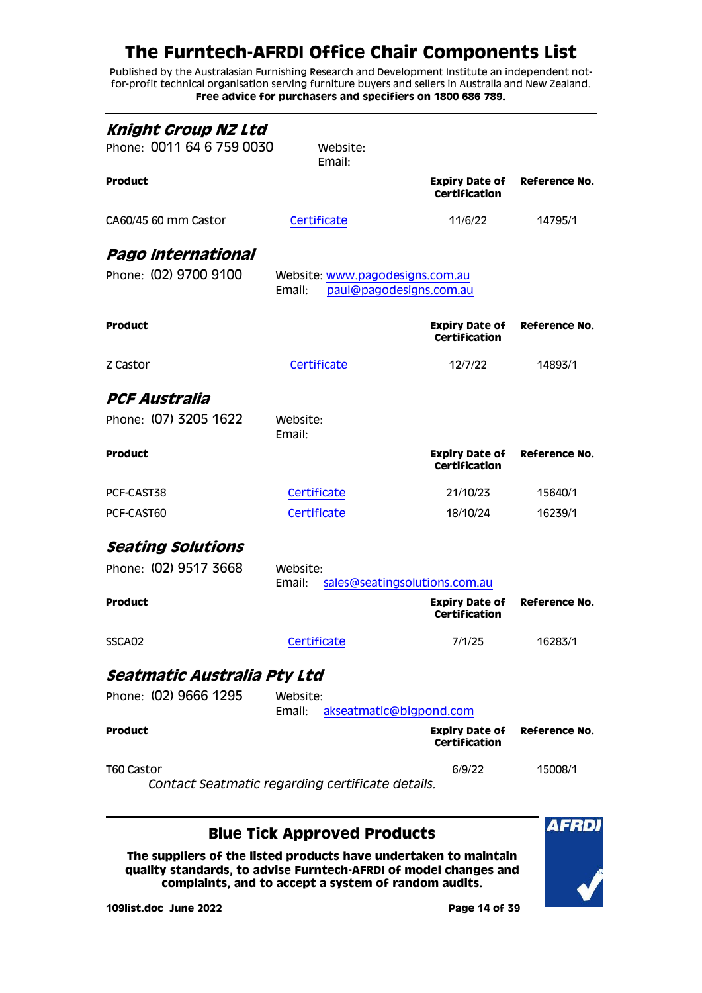Published by the Australasian Furnishing Research and Development Institute an independent notfor-profit technical organisation serving furniture buyers and sellers in Australia and New Zealand. **Free advice for purchasers and specifiers on 1800 686 789.**

<span id="page-13-2"></span><span id="page-13-1"></span><span id="page-13-0"></span>

| Knight Group NZ Ltd<br>Phone: 0011 64 6 759 0030 | Website:<br>Email:                               |                                               |               |
|--------------------------------------------------|--------------------------------------------------|-----------------------------------------------|---------------|
| <b>Product</b>                                   |                                                  | <b>Expiry Date of</b><br><b>Certification</b> | Reference No. |
| CA60/45 60 mm Castor                             | Certificate                                      | 11/6/22                                       | 14795/1       |
| Pago International                               |                                                  |                                               |               |
| Phone: (02) 9700 9100                            | Website: www.pagodesigns.com.au<br>Email:        | paul@pagodesigns.com.au                       |               |
| Product                                          |                                                  | <b>Expiry Date of</b><br><b>Certification</b> | Reference No. |
| Z Castor                                         | Certificate                                      | 12/7/22                                       | 14893/1       |
| PCF Australia                                    |                                                  |                                               |               |
| Phone: (07) 3205 1622                            | Website:<br>Email:                               |                                               |               |
| Product                                          |                                                  | <b>Expiry Date of</b><br><b>Certification</b> | Reference No. |
| PCF-CAST38                                       | Certificate                                      | 21/10/23                                      | 15640/1       |
| PCF-CAST60                                       | Certificate                                      | 18/10/24                                      | 16239/1       |
| <i>Seating Solutions</i>                         |                                                  |                                               |               |
| Phone: (02) 9517 3668                            | Website:<br>Email:                               | sales@seatingsolutions.com.au                 |               |
| Product                                          |                                                  | <b>Expiry Date of</b><br><b>Certification</b> | Reference No. |
| SSCA02                                           | Certificate                                      | 7/1/25                                        | 16283/1       |
| Seatmatic Australia Pty Ltd                      |                                                  |                                               |               |
| Phone: (02) 9666 1295                            | Website:<br>Email:                               | akseatmatic@bigpond.com                       |               |
| <b>Product</b>                                   |                                                  | <b>Expiry Date of</b><br>Certification        | Reference No. |
| T60 Castor                                       | Contact Seatmatic regarding certificate details. | 6/9/22                                        | 15008/1       |
|                                                  | Nua Fiels Amprensad Braduate                     |                                               |               |

#### <span id="page-13-4"></span><span id="page-13-3"></span>**Blue Tick Approved Products**

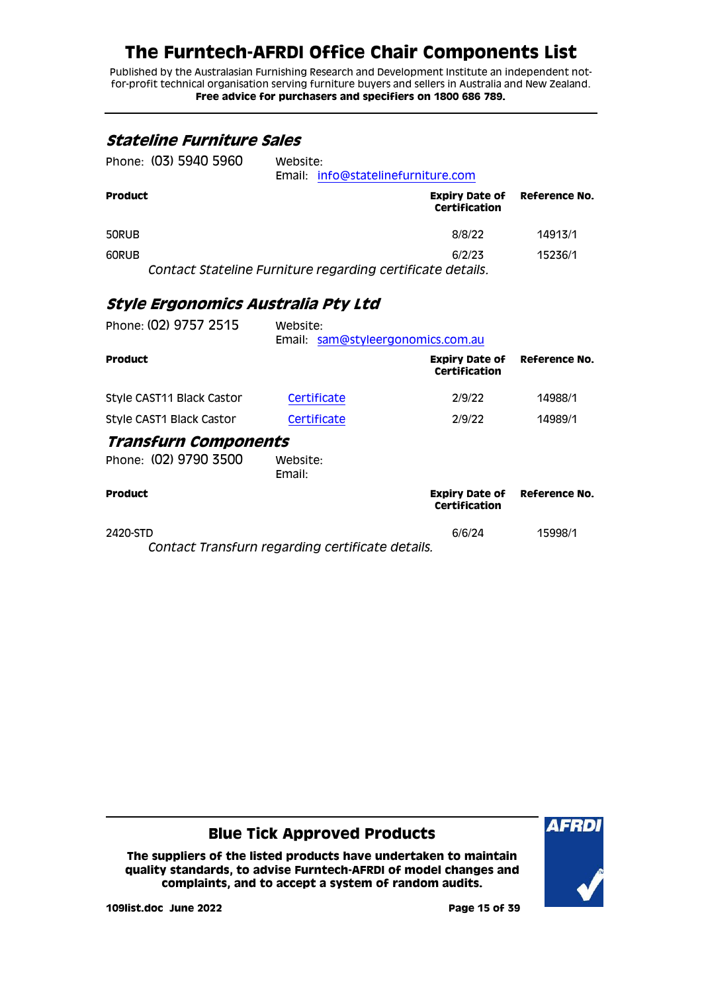Published by the Australasian Furnishing Research and Development Institute an independent notfor-profit technical organisation serving furniture buyers and sellers in Australia and New Zealand. **Free advice for purchasers and specifiers on 1800 686 789.**

#### <span id="page-14-0"></span>**Stateline Furniture Sales**

| Phone: (03) 5940 5960 | Website:<br>Email: info@statelinefurniture.com             |                                        |                      |
|-----------------------|------------------------------------------------------------|----------------------------------------|----------------------|
| Product               |                                                            | <b>Expiry Date of</b><br>Certification | <b>Reference No.</b> |
| 50RUB                 |                                                            | 8/8/22                                 | 14913/1              |
| 60RUB                 |                                                            | 6/2/23                                 | 15236/1              |
|                       | Contact Stateline Furniture regarding certificate details. |                                        |                      |

#### <span id="page-14-1"></span>**Style Ergonomics Australia Pty Ltd**

<span id="page-14-2"></span>

| Phone: (02) 9757 2515       | Website:<br>Email: sam@styleergonomics.com.au   |                                               |                                     |
|-----------------------------|-------------------------------------------------|-----------------------------------------------|-------------------------------------|
| <b>Product</b>              |                                                 | <b>Expiry Date of</b><br><b>Certification</b> | Reference No.                       |
| Style CAST11 Black Castor   | Certificate                                     | 2/9/22                                        | 14988/1                             |
| Style CAST1 Black Castor    | Certificate                                     | 2/9/22                                        | 14989/1                             |
| <b>Transfurn Components</b> |                                                 |                                               |                                     |
| Phone: (02) 9790 3500       | Website:<br>Email:                              |                                               |                                     |
| <b>Product</b>              |                                                 | Certification                                 | <b>Expiry Date of Reference No.</b> |
| 2420-STD                    | Cantact Transfirm reserving contificate details | 6/6/24                                        | 15998/1                             |

*Contact Transfurn regarding certificate details.*

**Blue Tick Approved Products**

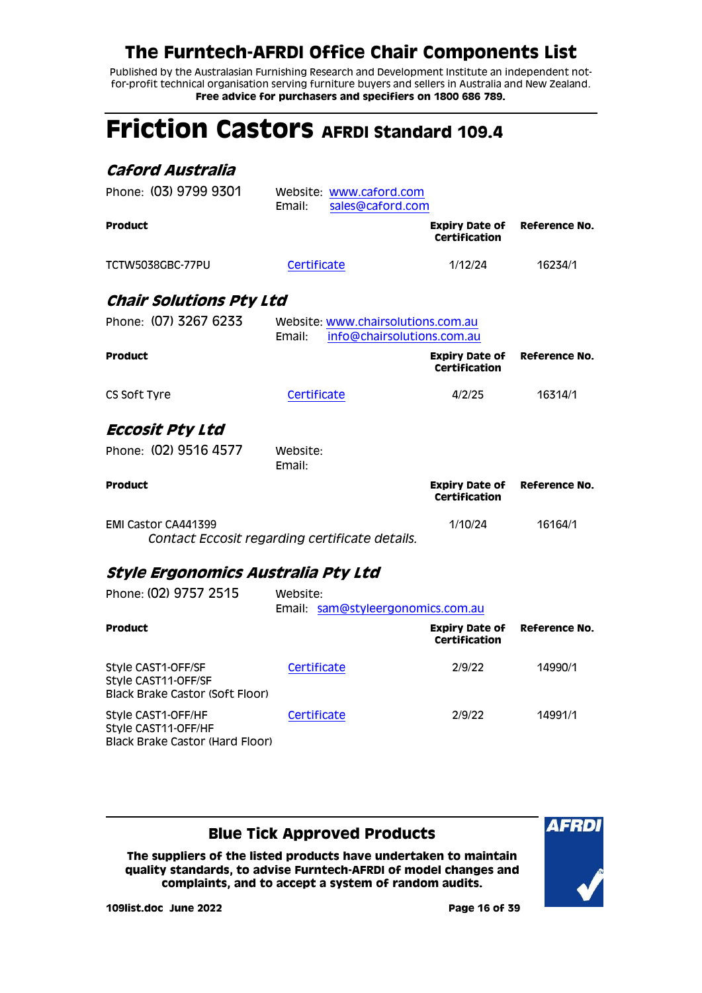Published by the Australasian Furnishing Research and Development Institute an independent notfor-profit technical organisation serving furniture buyers and sellers in Australia and New Zealand. **Free advice for purchasers and specifiers on 1800 686 789.**

# <span id="page-15-0"></span>**Friction Castors AFRDI Standard 109.4**

<span id="page-15-3"></span><span id="page-15-2"></span><span id="page-15-1"></span>

| Caford Australia                          |                                                                            |                                               |               |
|-------------------------------------------|----------------------------------------------------------------------------|-----------------------------------------------|---------------|
| Phone: (03) 9799 9301                     | Website: www.caford.com<br>sales@caford.com<br>Email:                      |                                               |               |
| <b>Product</b>                            |                                                                            | <b>Expiry Date of</b><br>Certification        | Reference No. |
| <b>TCTW5038GBC-77PU</b>                   | Certificate                                                                | 1/12/24                                       | 16234/1       |
| <b>Chair Solutions Pty Ltd</b>            |                                                                            |                                               |               |
| Phone: (07) 3267 6233                     | Website: www.chairsolutions.com.au<br>Email:<br>info@chairsolutions.com.au |                                               |               |
| Product                                   |                                                                            | <b>Expiry Date of</b><br>Certification        | Reference No. |
| CS Soft Tyre                              | Certificate                                                                | 4/2/25                                        | 16314/1       |
| Eccosit Pty Ltd                           |                                                                            |                                               |               |
| Phone: (02) 9516 4577                     | Website:<br>Email:                                                         |                                               |               |
| <b>Product</b>                            |                                                                            | <b>Expiry Date of</b><br><b>Certification</b> | Reference No. |
| EMI Castor CA441399                       | Contact Eccosit regarding certificate details.                             | 1/10/24                                       | 16164/1       |
| Style Ergonomics Australia Pty Ltd        |                                                                            |                                               |               |
| Phone: (02) 9757 2515                     | Website:<br>Email: sam@styleergonomics.com.au                              |                                               |               |
| <b>Product</b>                            |                                                                            | <b>Expiry Date of</b><br><b>Certification</b> | Reference No. |
| Style CAST1-OFF/SF<br>Style CAST11-OFF/SF | Certificate                                                                | 2/9/22                                        | 14990/1       |

Style CAST1-OFF/HF Style CAST11-OFF/HF Black Brake Castor (Hard Floor)

<span id="page-15-4"></span>Black Brake Castor (Soft Floor)

### **Blue Tick Approved Products**

**The suppliers of the listed products have undertaken to maintain quality standards, to advise Furntech-AFRDI of model changes and complaints, and to accept a system of random audits.**



**109list.doc June 2022 Page 16 of 39**

[Certificate](http://www.furntech.org.au/fs/index.php?dir=14000/14900/&file=14991-1_191218_ct.pdf) 2/9/22 14991/1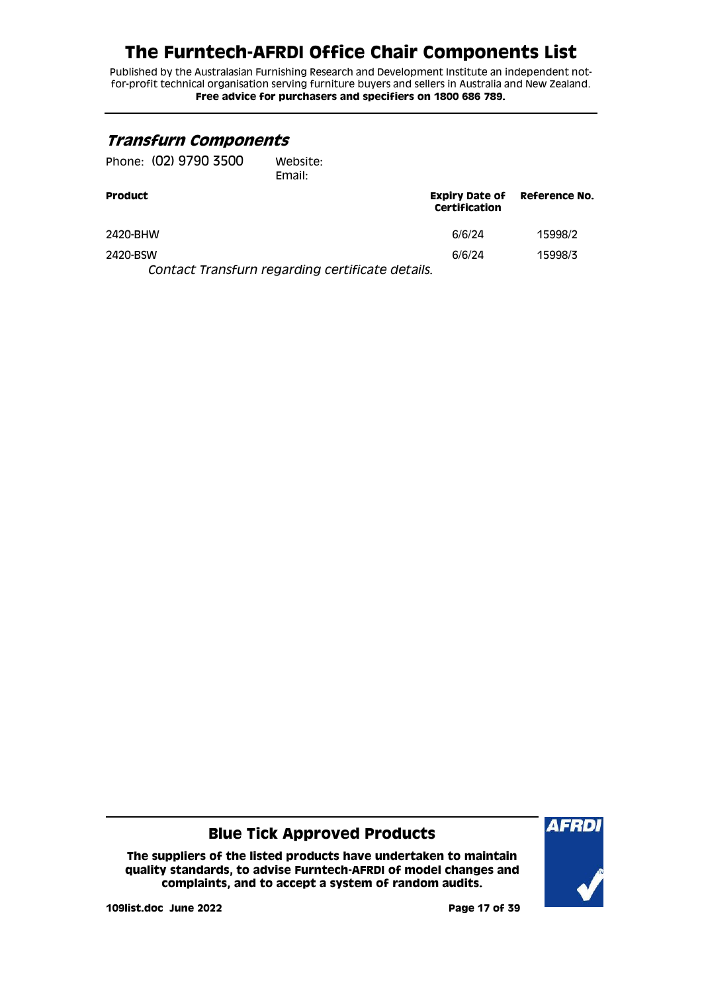Published by the Australasian Furnishing Research and Development Institute an independent notfor-profit technical organisation serving furniture buyers and sellers in Australia and New Zealand. **Free advice for purchasers and specifiers on 1800 686 789.**

#### <span id="page-16-0"></span>**Transfurn Components**

| Website:<br>Email: |                                                      |                                                 |
|--------------------|------------------------------------------------------|-------------------------------------------------|
|                    | <b>Expiry Date of Reference No.</b><br>Certification |                                                 |
|                    | 6/6/24                                               | 15998/2                                         |
|                    | 6/6/24                                               | 15998/3                                         |
|                    |                                                      | Contact Transfurn regarding certificate details |

*Contact Transfurn regarding certificate details.*

#### **Blue Tick Approved Products**

**The suppliers of the listed products have undertaken to maintain quality standards, to advise Furntech-AFRDI of model changes and complaints, and to accept a system of random audits.**



**109list.doc June 2022 Page 17 of 39**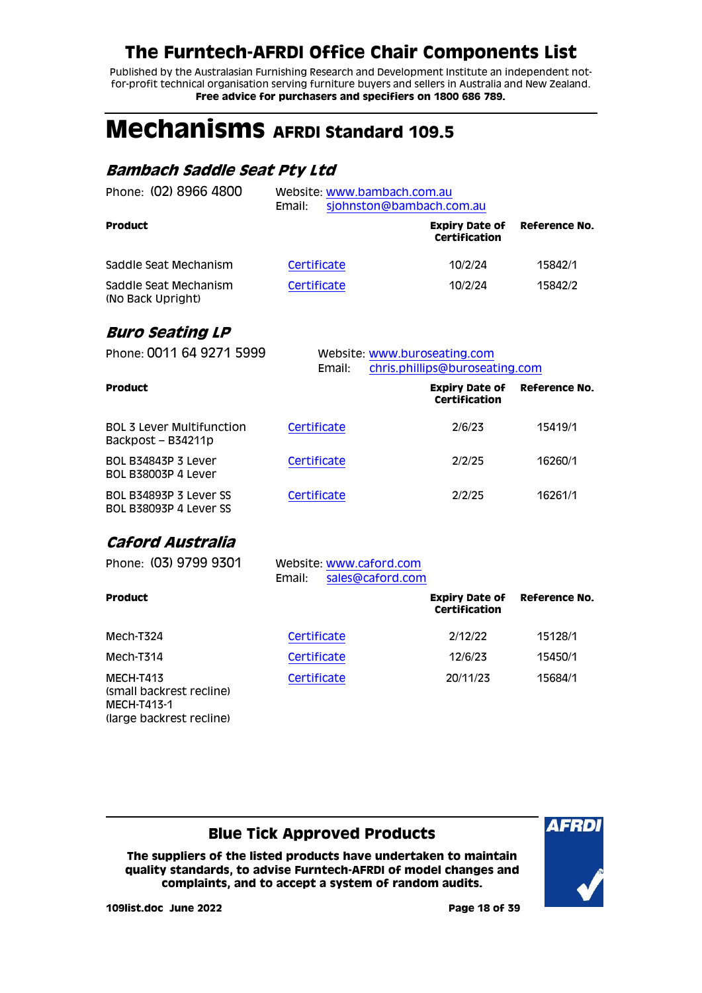Published by the Australasian Furnishing Research and Development Institute an independent notfor-profit technical organisation serving furniture buyers and sellers in Australia and New Zealand. **Free advice for purchasers and specifiers on 1800 686 789.**

# <span id="page-17-0"></span>**Mechanisms AFRDI Standard 109.5**

#### <span id="page-17-1"></span>**Bambach Saddle Seat Pty Ltd**

| Phone: (02) 8966 4800                      | Website: www.bambach.com.au<br>Email: | sjohnston@bambach.com.au               |               |
|--------------------------------------------|---------------------------------------|----------------------------------------|---------------|
| <b>Product</b>                             |                                       | <b>Expiry Date of</b><br>Certification | Reference No. |
| Saddle Seat Mechanism                      | Certificate                           | 10/2/24                                | 15842/1       |
| Saddle Seat Mechanism<br>(No Back Upright) | Certificate                           | 10/2/24                                | 15842/2       |

#### <span id="page-17-2"></span>**Buro Seating LP**

| Phone: 0011 64 9271 5999                                 | Email:      | Website: www.buroseating.com<br>chris.phillips@buroseating.com |               |  |
|----------------------------------------------------------|-------------|----------------------------------------------------------------|---------------|--|
| <b>Product</b>                                           |             | <b>Expiry Date of</b><br>Certification                         | Reference No. |  |
| <b>BOL 3 Lever Multifunction</b><br>Backpost – B34211p   | Certificate | 2/6/23                                                         | 15419/1       |  |
| <b>BOL B34843P 3 Lever</b><br><b>BOL B38003P 4 Lever</b> | Certificate | 2/2/25                                                         | 16260/1       |  |
| BOL B34893P 3 Lever SS<br>BOL B38093P 4 Lever SS         | Certificate | 2/2/25                                                         | 16261/1       |  |

### <span id="page-17-3"></span>**Caford Australia**

(large backrest recline)

| Phone: (03) 9799 9301                                | Website: www.caford.com<br>sales@caford.com<br>Email: |                                        |                      |
|------------------------------------------------------|-------------------------------------------------------|----------------------------------------|----------------------|
| Product                                              |                                                       | <b>Expiry Date of</b><br>Certification | <b>Reference No.</b> |
| Mech-T324                                            | Certificate                                           | 2/12/22                                | 15128/1              |
| Mech-T314                                            | Certificate                                           | 12/6/23                                | 15450/1              |
| MECH-T413<br>(small backrest recline)<br>MECH-T413-1 | Certificate                                           | 20/11/23                               | 15684/1              |

### **Blue Tick Approved Products**

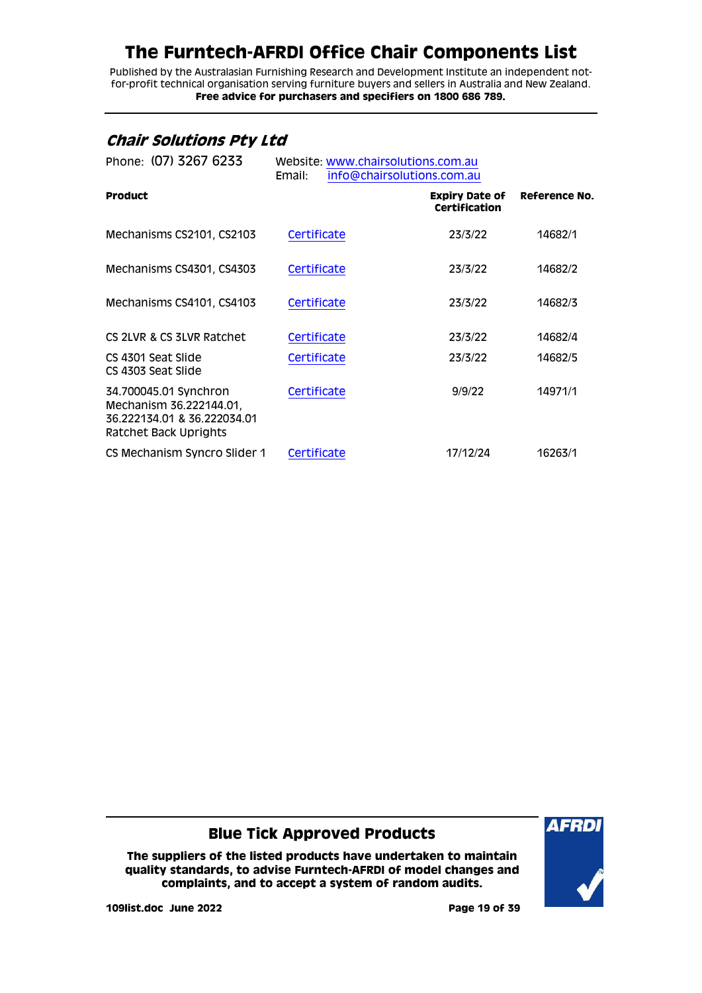Published by the Australasian Furnishing Research and Development Institute an independent notfor-profit technical organisation serving furniture buyers and sellers in Australia and New Zealand. **Free advice for purchasers and specifiers on 1800 686 789.**

#### <span id="page-18-0"></span>**Chair Solutions Pty Ltd**

| Phone: (07) 3267 6233                                                                                    | Website: www.chairsolutions.com.au<br>Email: | info@chairsolutions.com.au                    |               |  |  |
|----------------------------------------------------------------------------------------------------------|----------------------------------------------|-----------------------------------------------|---------------|--|--|
| <b>Product</b>                                                                                           |                                              | <b>Expiry Date of</b><br><b>Certification</b> | Reference No. |  |  |
| Mechanisms CS2101, CS2103                                                                                | Certificate                                  | 23/3/22                                       | 14682/1       |  |  |
| Mechanisms CS4301, CS4303                                                                                | Certificate                                  | 23/3/22                                       | 14682/2       |  |  |
| Mechanisms CS4101, CS4103                                                                                | Certificate                                  | 23/3/22                                       | 14682/3       |  |  |
| CS 2LVR & CS 3LVR Ratchet                                                                                | Certificate                                  | 23/3/22                                       | 14682/4       |  |  |
| CS 4301 Seat Slide<br>CS 4303 Seat Slide                                                                 | Certificate                                  | 23/3/22                                       | 14682/5       |  |  |
| 34.700045.01 Synchron<br>Mechanism 36.222144.01,<br>36.222134.01 & 36.222034.01<br>Ratchet Back Uprights | Certificate                                  | 9/9/22                                        | 14971/1       |  |  |
| CS Mechanism Syncro Slider 1                                                                             | Certificate                                  | 17/12/24                                      | 16263/1       |  |  |

#### **Blue Tick Approved Products**

**The suppliers of the listed products have undertaken to maintain quality standards, to advise Furntech-AFRDI of model changes and complaints, and to accept a system of random audits.**



**109list.doc June 2022 Page 19 of 39**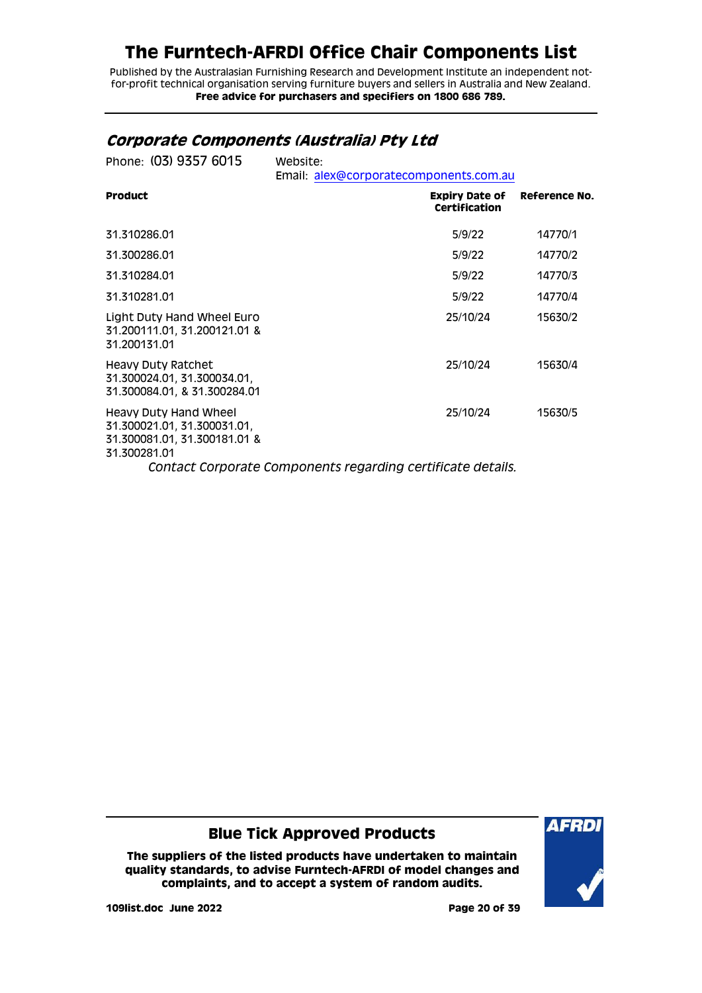Published by the Australasian Furnishing Research and Development Institute an independent notfor-profit technical organisation serving furniture buyers and sellers in Australia and New Zealand. **Free advice for purchasers and specifiers on 1800 686 789.**

#### <span id="page-19-0"></span>**Corporate Components (Australia) Pty Ltd**

| Phone: (03) 9357 6015                                                                                | Website:<br>Email: alex@corporatecomponents.com.au                      |               |
|------------------------------------------------------------------------------------------------------|-------------------------------------------------------------------------|---------------|
| <b>Product</b>                                                                                       | <b>Expiry Date of</b><br>Certification                                  | Reference No. |
| 31.310286.01                                                                                         | 5/9/22                                                                  | 14770/1       |
| 31.300286.01                                                                                         | 5/9/22                                                                  | 14770/2       |
| 31.310284.01                                                                                         | 5/9/22                                                                  | 14770/3       |
| 31.310281.01                                                                                         | 5/9/22                                                                  | 14770/4       |
| Light Duty Hand Wheel Euro<br>31.200111.01, 31.200121.01 &<br>31.200131.01                           | 25/10/24                                                                | 15630/2       |
| Heavy Duty Ratchet<br>31.300024.01, 31.300034.01,<br>31.300084.01, & 31.300284.01                    | 25/10/24                                                                | 15630/4       |
| Heavy Duty Hand Wheel<br>31.300021.01, 31.300031.01,<br>31.300081.01, 31.300181.01 &<br>31.300281.01 | 25/10/24<br>Contact Corporate Components regarding certificate details. | 15630/5       |

**Blue Tick Approved Products**

**The suppliers of the listed products have undertaken to maintain quality standards, to advise Furntech-AFRDI of model changes and complaints, and to accept a system of random audits.**



**109list.doc June 2022 Page 20 of 39**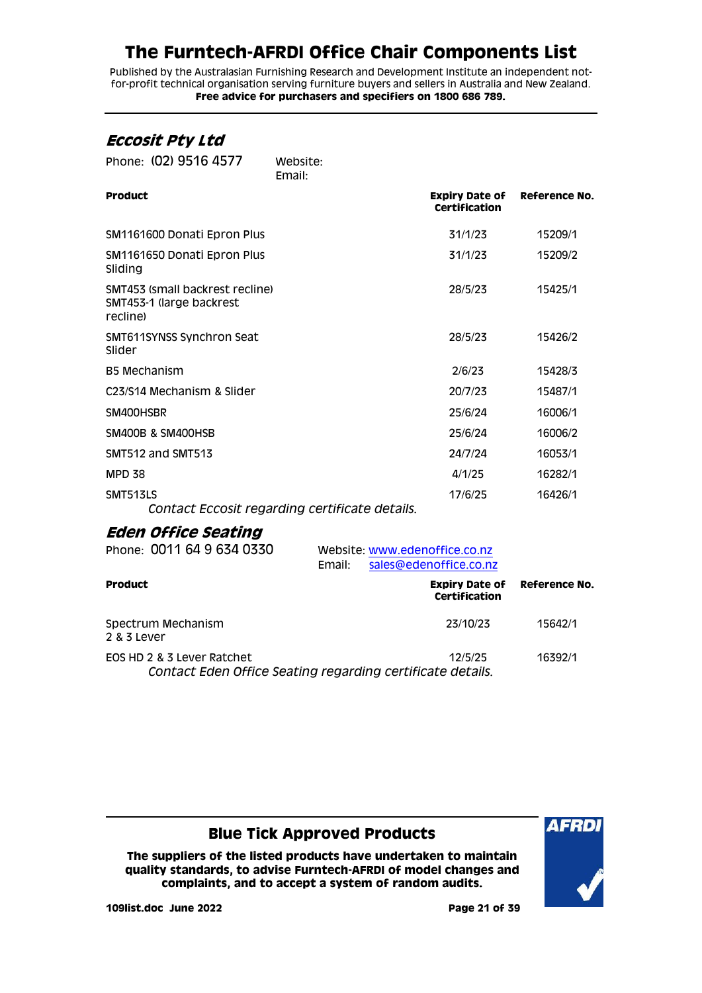Published by the Australasian Furnishing Research and Development Institute an independent notfor-profit technical organisation serving furniture buyers and sellers in Australia and New Zealand. **Free advice for purchasers and specifiers on 1800 686 789.**

### <span id="page-20-0"></span>**Eccosit Pty Ltd**

| Phone: (02) 9516 4577                                                   | Website:<br>Email:                             |                                               |               |
|-------------------------------------------------------------------------|------------------------------------------------|-----------------------------------------------|---------------|
| <b>Product</b>                                                          |                                                | <b>Expiry Date of</b><br><b>Certification</b> | Reference No. |
| SM1161600 Donati Epron Plus                                             |                                                | 31/1/23                                       | 15209/1       |
| SM1161650 Donati Epron Plus<br>Sliding                                  |                                                | 31/1/23                                       | 15209/2       |
| SMT453 (small backrest recline)<br>SMT453-1 (large backrest<br>recline) |                                                | 28/5/23                                       | 15425/1       |
| SMT611SYNSS Synchron Seat<br>Slider                                     |                                                | 28/5/23                                       | 15426/2       |
| <b>B5 Mechanism</b>                                                     |                                                | 2/6/23                                        | 15428/3       |
| C <sub>23</sub> /S <sub>14</sub> Mechanism & Slider                     |                                                | 20/7/23                                       | 15487/1       |
| SM400HSBR                                                               |                                                | 25/6/24                                       | 16006/1       |
| <b>SM400B &amp; SM400HSB</b>                                            |                                                | 25/6/24                                       | 16006/2       |
| SMT512 and SMT513                                                       |                                                | 24/7/24                                       | 16053/1       |
| <b>MPD 38</b>                                                           |                                                | 4/1/25                                        | 16282/1       |
| SMT513LS                                                                | Contact Eccosit regarding certificate details. | 17/6/25                                       | 16426/1       |

### <span id="page-20-1"></span>**Eden Office Seating**

| Phone: 0011 64 9 634 0330                                                                | Email: | Website: www.edenoffice.co.nz<br>sales@edenoffice.co.nz |         |
|------------------------------------------------------------------------------------------|--------|---------------------------------------------------------|---------|
| <b>Product</b>                                                                           |        | <b>Expiry Date of Reference No.</b><br>Certification    |         |
| Spectrum Mechanism<br>2 & 3 Lever                                                        |        | 23/10/23                                                | 15642/1 |
| EOS HD 2 & 3 Lever Ratchet<br>Contact Eden Office Seating regarding certificate details. |        | 12/5/25                                                 | 16392/1 |

### **Blue Tick Approved Products**

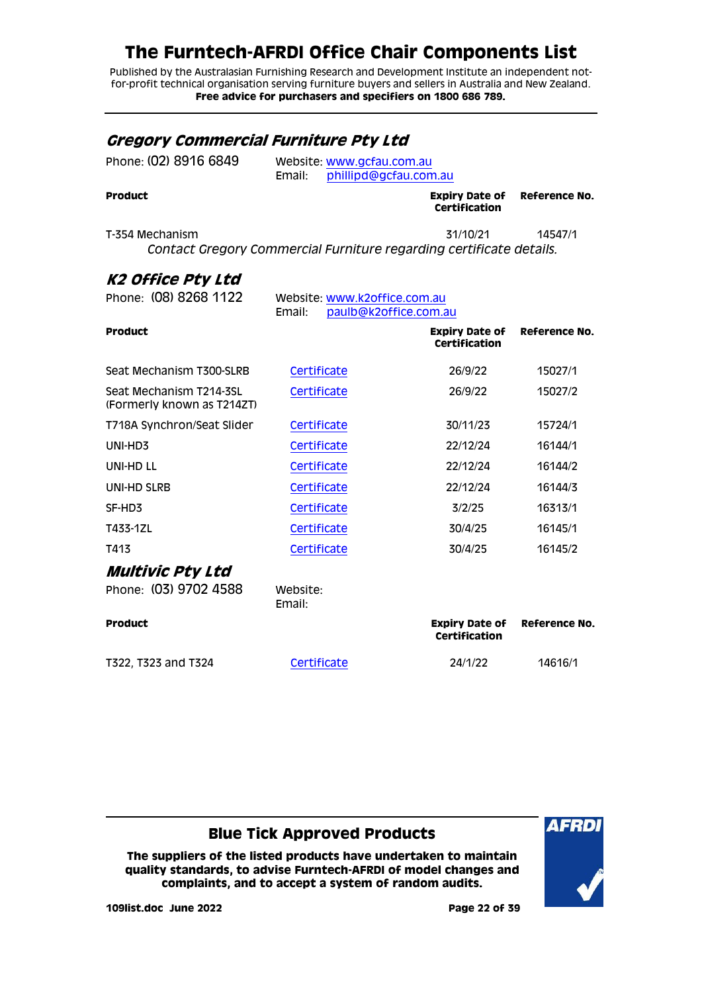Published by the Australasian Furnishing Research and Development Institute an independent notfor-profit technical organisation serving furniture buyers and sellers in Australia and New Zealand. **Free advice for purchasers and specifiers on 1800 686 789.**

#### <span id="page-21-0"></span>**Gregory Commercial Furniture Pty Ltd**

| Product               |        | <b>Expiry Date of</b><br>$A = 1.101 - 1.12 - 1.1$ |
|-----------------------|--------|---------------------------------------------------|
|                       | Email: | phillipd@gcfau.com.au                             |
| Phone: (02) 8916 6849 |        | Website: www.gcfau.com.au                         |

**Certification Reference No.**

T-354 Mechanism 31/10/21 14547/1 *Contact Gregory Commercial Furniture regarding certificate details.*

### <span id="page-21-1"></span>**K2 Office Pty Ltd**

<span id="page-21-2"></span>

| Phone: (08) 8268 1122                                 | Website: www.k2office.com.au<br>paulb@k2office.com.au<br>Email: |                                               |               |
|-------------------------------------------------------|-----------------------------------------------------------------|-----------------------------------------------|---------------|
| <b>Product</b>                                        |                                                                 | <b>Expiry Date of</b><br><b>Certification</b> | Reference No. |
| Seat Mechanism T300-SLRB                              | Certificate                                                     | 26/9/22                                       | 15027/1       |
| Seat Mechanism T214-3SL<br>(Formerly known as T214ZT) | Certificate                                                     | 26/9/22                                       | 15027/2       |
| T718A Synchron/Seat Slider                            | Certificate                                                     | 30/11/23                                      | 15724/1       |
| UNI-HD3                                               | Certificate                                                     | 22/12/24                                      | 16144/1       |
| UNI-HD LL                                             | Certificate                                                     | 22/12/24                                      | 16144/2       |
| UNI-HD SLRB                                           | Certificate                                                     | 22/12/24                                      | 16144/3       |
| SF-HD3                                                | Certificate                                                     | 3/2/25                                        | 16313/1       |
| T433-1ZL                                              | Certificate                                                     | 30/4/25                                       | 16145/1       |
| T413                                                  | Certificate                                                     | 30/4/25                                       | 16145/2       |
| Multivic Pty Ltd<br>Phone: (03) 9702 4588             | Website:<br>Email:                                              |                                               |               |
| <b>Product</b>                                        |                                                                 | <b>Expiry Date of</b><br>Certification        | Reference No. |
| T322, T323 and T324                                   | Certificate                                                     | 24/1/22                                       | 14616/1       |

**Blue Tick Approved Products**

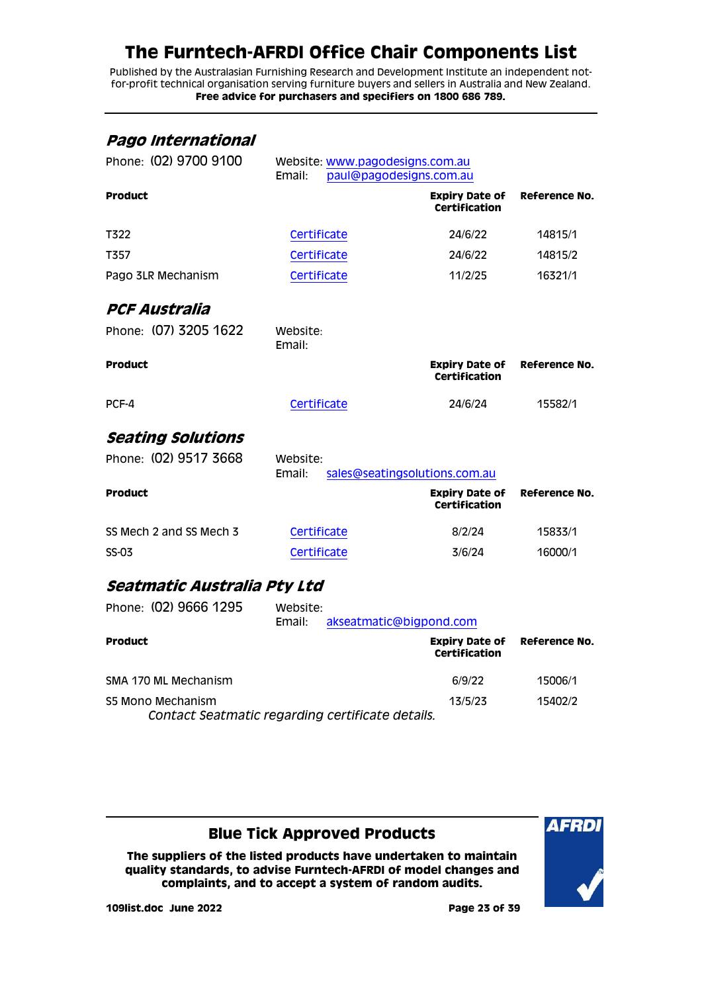Published by the Australasian Furnishing Research and Development Institute an independent notfor-profit technical organisation serving furniture buyers and sellers in Australia and New Zealand. **Free advice for purchasers and specifiers on 1800 686 789.**

#### <span id="page-22-0"></span>**Pago International**

<span id="page-22-1"></span>

| Phone: (02) 9700 9100       | Website: www.pagodesigns.com.au<br>paul@pagodesigns.com.au<br>Email: |                                               |               |
|-----------------------------|----------------------------------------------------------------------|-----------------------------------------------|---------------|
| <b>Product</b>              |                                                                      | <b>Expiry Date of</b><br><b>Certification</b> | Reference No. |
| T322                        | Certificate                                                          | 24/6/22                                       | 14815/1       |
| T357                        | Certificate                                                          | 24/6/22                                       | 14815/2       |
| Pago 3LR Mechanism          | Certificate                                                          | 11/2/25                                       | 16321/1       |
| PCF Australia               |                                                                      |                                               |               |
| Phone: (07) 3205 1622       | Website:<br>Email:                                                   |                                               |               |
| <b>Product</b>              |                                                                      | <b>Expiry Date of</b><br><b>Certification</b> | Reference No. |
| PCF-4                       | Certificate                                                          | 24/6/24                                       | 15582/1       |
| <b>Seating Solutions</b>    |                                                                      |                                               |               |
| Phone: (02) 9517 3668       | Website:<br>sales@seatingsolutions.com.au<br>Email:                  |                                               |               |
| <b>Product</b>              |                                                                      | <b>Expiry Date of</b><br><b>Certification</b> | Reference No. |
| SS Mech 2 and SS Mech 3     | Certificate                                                          | 8/2/24                                        | 15833/1       |
| <b>SS-03</b>                | Certificate                                                          | 3/6/24                                        | 16000/1       |
| Seatmatic Australia Pty Ltd |                                                                      |                                               |               |
| Phone: (02) 9666 1295       | Website:<br>Email:<br>akseatmatic@bigpond.com                        |                                               |               |

<span id="page-22-3"></span><span id="page-22-2"></span>

| <b>Product</b>                                                        | <b>Expiry Date of</b><br><b>Certification</b> | <b>Reference No.</b> |
|-----------------------------------------------------------------------|-----------------------------------------------|----------------------|
| SMA 170 ML Mechanism                                                  | 6/9/22                                        | 15006/1              |
| S5 Mono Mechanism<br>Contact Seatmatic regarding certificate details. | 13/5/23                                       | 15402/2              |

#### **Blue Tick Approved Products**

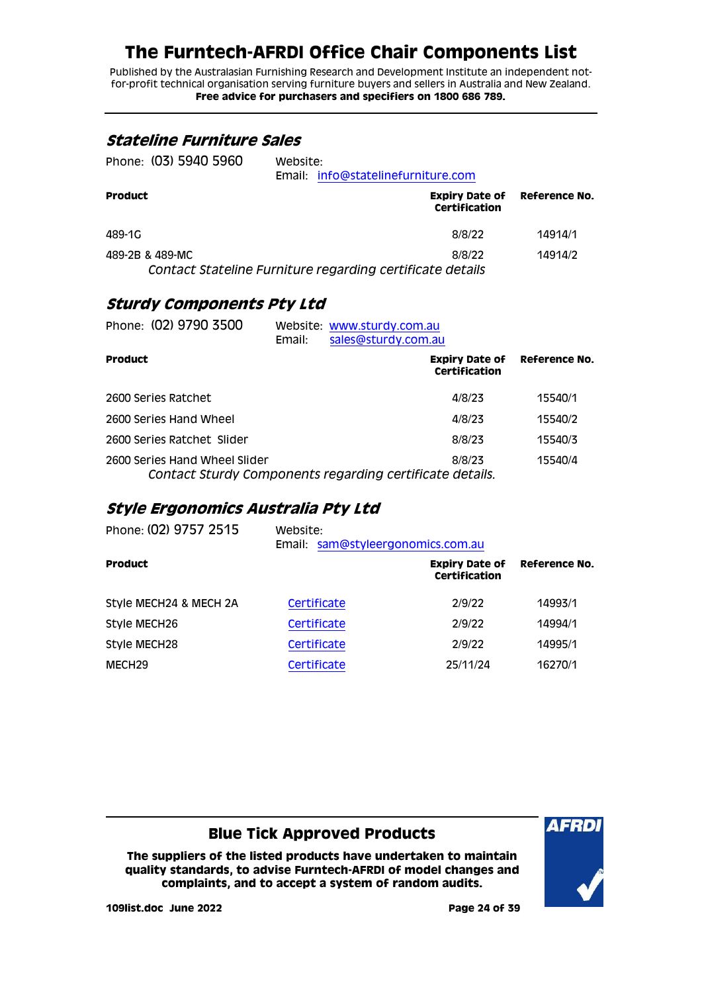Published by the Australasian Furnishing Research and Development Institute an independent notfor-profit technical organisation serving furniture buyers and sellers in Australia and New Zealand. **Free advice for purchasers and specifiers on 1800 686 789.**

#### <span id="page-23-0"></span>**Stateline Furniture Sales**

| Phone: (03) 5940 5960 | Website:<br>Email: info@statelinefurniture.com            |                                                      |         |
|-----------------------|-----------------------------------------------------------|------------------------------------------------------|---------|
| <b>Product</b>        |                                                           | <b>Expiry Date of Reference No.</b><br>Certification |         |
| 489-1G                |                                                           | 8/8/22                                               | 14914/1 |
| 489-2B & 489-MC       | Contact Stateline Furniture regarding certificate details | 8/8/22                                               | 14914/2 |

### <span id="page-23-1"></span>**Sturdy Components Pty Ltd**

| Phone: (02) 9790 3500         | Email: | Website: www.sturdy.com.au<br>sales@sturdy.com.au        |                                        |                      |
|-------------------------------|--------|----------------------------------------------------------|----------------------------------------|----------------------|
| <b>Product</b>                |        |                                                          | <b>Expiry Date of</b><br>Certification | <b>Reference No.</b> |
| 2600 Series Ratchet           |        |                                                          | 4/8/23                                 | 15540/1              |
| 2600 Series Hand Wheel        |        |                                                          | 4/8/23                                 | 15540/2              |
| 2600 Series Ratchet Slider    |        |                                                          | 8/8/23                                 | 15540/3              |
| 2600 Series Hand Wheel Slider |        | Contact Sturdy Components regarding certificate details. | 8/8/23                                 | 15540/4              |

#### <span id="page-23-2"></span>**Style Ergonomics Australia Pty Ltd**

| Website:<br>Email: |                                               |                            |
|--------------------|-----------------------------------------------|----------------------------|
|                    | <b>Expiry Date of</b><br><b>Certification</b> | Reference No.              |
| Certificate        | 2/9/22                                        | 14993/1                    |
| Certificate        | 2/9/22                                        | 14994/1                    |
| Certificate        | 2/9/22                                        | 14995/1                    |
| Certificate        | 25/11/24                                      | 16270/1                    |
|                    |                                               | sam@styleergonomics.com.au |

### **Blue Tick Approved Products**

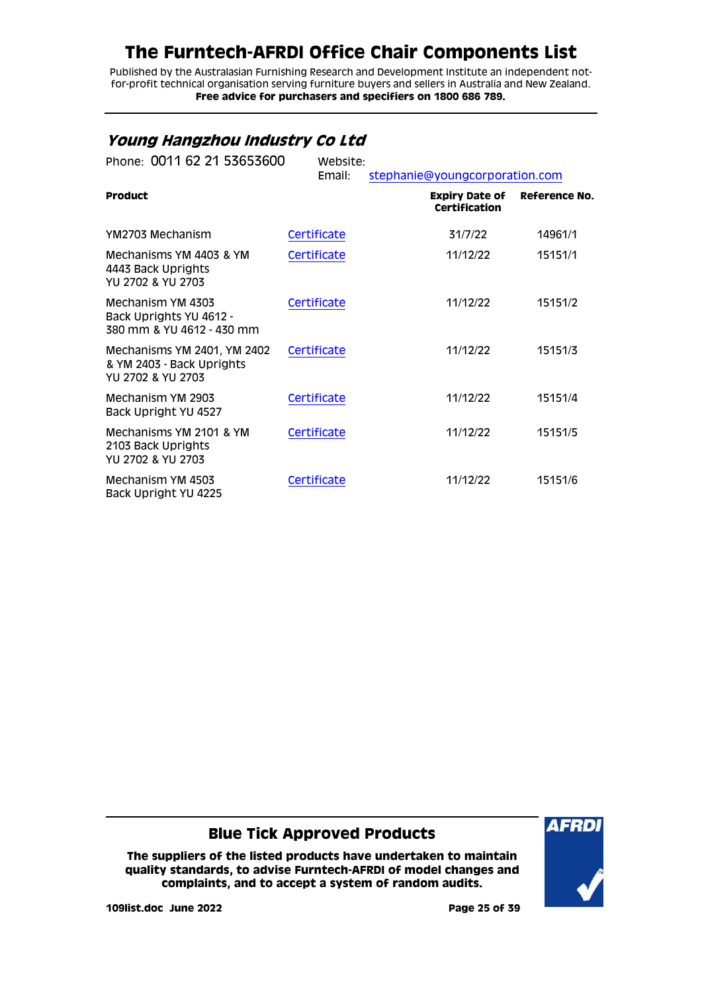Published by the Australasian Furnishing Research and Development Institute an independent notfor-profit technical organisation serving furniture buyers and sellers in Australia and New Zealand. **Free advice for purchasers and specifiers on 1800 686 789.**

### <span id="page-24-0"></span>**Young Hangzhou Industry Co Ltd**

| Phone: 0011 62 21 53653600                                                    | Website:<br>Email: | stephanie@youngcorporation.com                |               |
|-------------------------------------------------------------------------------|--------------------|-----------------------------------------------|---------------|
| <b>Product</b>                                                                |                    | <b>Expiry Date of</b><br><b>Certification</b> | Reference No. |
| YM2703 Mechanism                                                              | Certificate        | 31/7/22                                       | 14961/1       |
| Mechanisms YM 4403 & YM<br>4443 Back Uprights<br>YU 2702 & YU 2703            | Certificate        | 11/12/22                                      | 15151/1       |
| Mechanism YM 4303<br>Back Uprights YU 4612 -<br>380 mm & YU 4612 - 430 mm     | Certificate        | 11/12/22                                      | 15151/2       |
| Mechanisms YM 2401, YM 2402<br>& YM 2403 - Back Uprights<br>YU 2702 & YU 2703 | Certificate        | 11/12/22                                      | 15151/3       |
| Mechanism YM 2903<br>Back Upright YU 4527                                     | Certificate        | 11/12/22                                      | 15151/4       |
| Mechanisms YM 2101 & YM<br>2103 Back Uprights<br>YU 2702 & YU 2703            | Certificate        | 11/12/22                                      | 15151/5       |
| Mechanism YM 4503<br>Back Upright YU 4225                                     | Certificate        | 11/12/22                                      | 15151/6       |

#### **Blue Tick Approved Products**

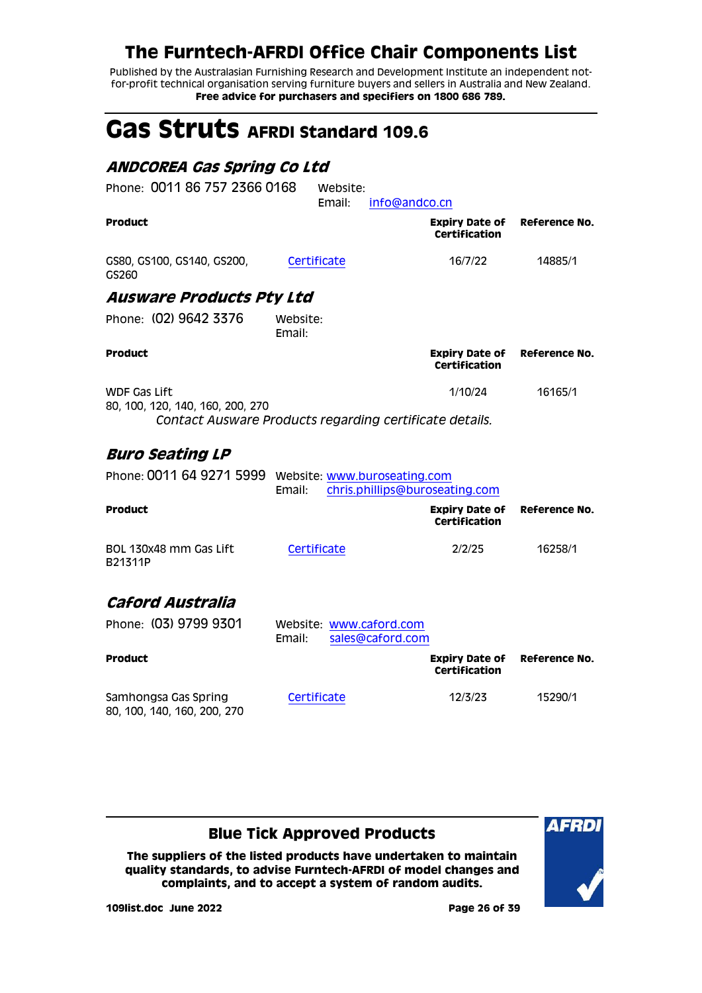Published by the Australasian Furnishing Research and Development Institute an independent notfor-profit technical organisation serving furniture buyers and sellers in Australia and New Zealand. **Free advice for purchasers and specifiers on 1800 686 789.**

# <span id="page-25-0"></span>**Gas Struts AFRDI Standard 109.6**

### <span id="page-25-1"></span>**ANDCOREA Gas Spring Co Ltd**

<span id="page-25-3"></span><span id="page-25-2"></span>

| Phone: 0011 86 757 2366 0168                              | Website:<br>Email:<br>info@andco.cn                     |                                               |               |
|-----------------------------------------------------------|---------------------------------------------------------|-----------------------------------------------|---------------|
| <b>Product</b>                                            |                                                         | <b>Expiry Date of</b><br><b>Certification</b> | Reference No. |
| GS80, GS100, GS140, GS200,<br>GS260                       | Certificate                                             | 16/7/22                                       | 14885/1       |
| <b>Ausware Products Pty Ltd</b>                           |                                                         |                                               |               |
| Phone: (02) 9642 3376                                     | Website:<br>Email:                                      |                                               |               |
| <b>Product</b>                                            |                                                         | <b>Expiry Date of</b><br><b>Certification</b> | Reference No. |
| <b>WDF Gas Lift</b><br>80, 100, 120, 140, 160, 200, 270   |                                                         | 1/10/24                                       | 16165/1       |
|                                                           | Contact Ausware Products regarding certificate details. |                                               |               |
| <b>Buro Seating LP</b>                                    |                                                         |                                               |               |
| Phone: 0011 64 9271 5999     Website: www.buroseating.com | chris.phillips@buroseating.com<br>Email:                |                                               |               |
| <b>Product</b>                                            |                                                         | <b>Expiry Date of</b><br>Certification        | Reference No. |
| BOL 130x48 mm Gas Lift<br>B21311P                         | Certificate                                             | 2/2/25                                        | 16258/1       |
| Caford Australia                                          |                                                         |                                               |               |
| Phone: (03) 9799 9301                                     | Website: www.caford.com<br>Email:<br>sales@caford.com   |                                               |               |
| <b>Product</b>                                            |                                                         | <b>Expiry Date of</b><br><b>Certification</b> | Reference No. |
| Samhongsa Gas Spring<br>80, 100, 140, 160, 200, 270       | Certificate                                             | 12/3/23                                       | 15290/1       |

### <span id="page-25-4"></span>**Blue Tick Approved Products**

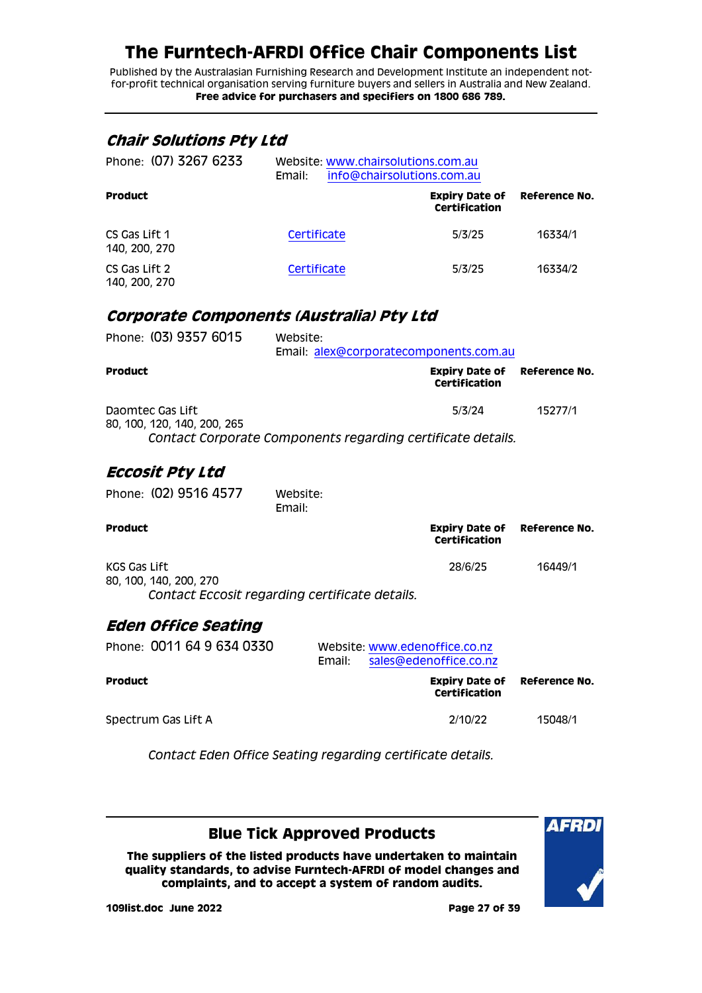Published by the Australasian Furnishing Research and Development Institute an independent notfor-profit technical organisation serving furniture buyers and sellers in Australia and New Zealand. **Free advice for purchasers and specifiers on 1800 686 789.**

#### <span id="page-26-0"></span>**Chair Solutions Pty Ltd**

| Phone: (07) 3267 6233          | Website: www.chairsolutions.com.au<br>info@chairsolutions.com.au<br>Email: |                                        |               |  |
|--------------------------------|----------------------------------------------------------------------------|----------------------------------------|---------------|--|
| <b>Product</b>                 |                                                                            | <b>Expiry Date of</b><br>Certification | Reference No. |  |
| CS Gas Lift 1<br>140, 200, 270 | Certificate                                                                | 5/3/25                                 | 16334/1       |  |
| CS Gas Lift 2<br>140, 200, 270 | Certificate                                                                | 5/3/25                                 | 16334/2       |  |

#### <span id="page-26-1"></span>**Corporate Components (Australia) Pty Ltd**

| Phone: (03) 9357 6015                           | Website:<br>Email: alex@corporatecomponents.com.au                    |         |
|-------------------------------------------------|-----------------------------------------------------------------------|---------|
| <b>Product</b>                                  | <b>Expiry Date of Reference No.</b><br>Certification                  |         |
| Daomtec Gas Lift<br>80, 100, 120, 140, 200, 265 | 5/3/24<br>Contact Corporate Components regarding certificate details. | 15277/1 |

#### <span id="page-26-2"></span>**Eccosit Pty Ltd**

| Phone: (02) 9516 4577                                                                    | Website:<br>Email: |                                                             |               |
|------------------------------------------------------------------------------------------|--------------------|-------------------------------------------------------------|---------------|
| <b>Product</b>                                                                           |                    | <b>Expiry Date of Reference No.</b><br><b>Certification</b> |               |
| KGS Gas Lift<br>80, 100, 140, 200, 270<br>Contact Eccosit regarding certificate details. |                    | 28/6/25                                                     | 16449/1       |
| <b>Eden Office Seating</b>                                                               |                    |                                                             |               |
| Phone: 0011 64 9 634 0330                                                                | Email:             | Website: www.edenoffice.co.nz<br>sales@edenoffice.co.nz     |               |
| <b>Product</b>                                                                           |                    | Expiry Date of<br>Certification                             | Reference No. |

<span id="page-26-3"></span>Spectrum Gas Lift A 2/10/22 15048/1

*Contact Eden Office Seating regarding certificate details.*

#### **Blue Tick Approved Products**

**The suppliers of the listed products have undertaken to maintain quality standards, to advise Furntech-AFRDI of model changes and complaints, and to accept a system of random audits.**



**109list.doc June 2022 Page 27 of 39**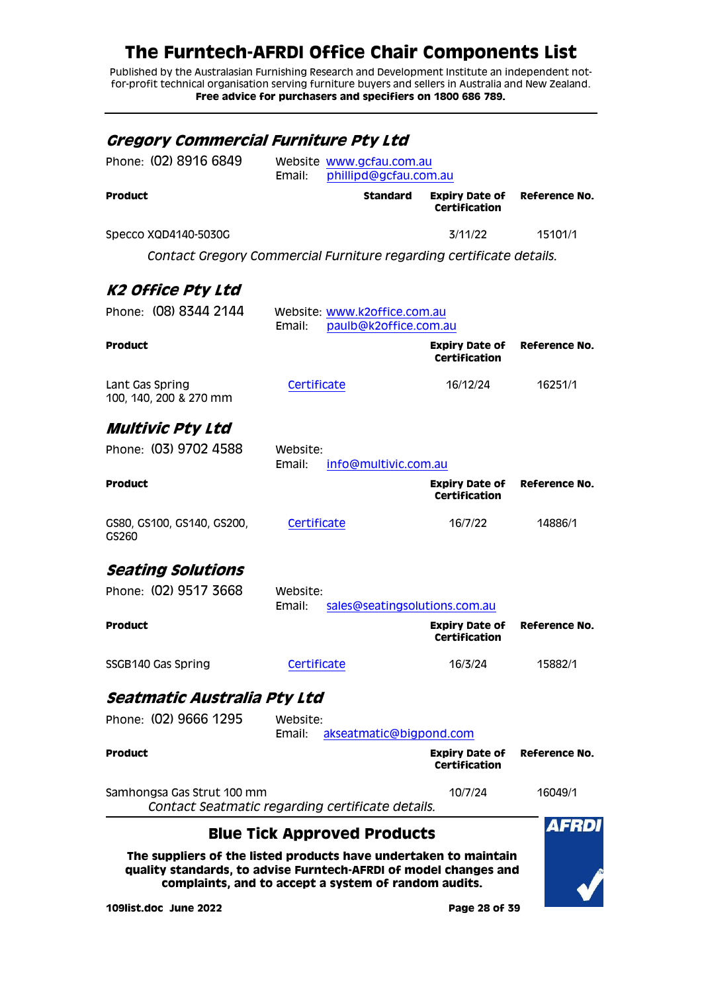Published by the Australasian Furnishing Research and Development Institute an independent notfor-profit technical organisation serving furniture buyers and sellers in Australia and New Zealand. **Free advice for purchasers and specifiers on 1800 686 789.**

<span id="page-27-2"></span><span id="page-27-1"></span><span id="page-27-0"></span>

| <i><b>Gregory Commercial Furniture Pty Ltd</b></i>                                                                                                                                           |                    |                                                   |                                               |               |
|----------------------------------------------------------------------------------------------------------------------------------------------------------------------------------------------|--------------------|---------------------------------------------------|-----------------------------------------------|---------------|
| Phone: (02) 8916 6849                                                                                                                                                                        | Email:             | Website www.gcfau.com.au<br>phillipd@gcfau.com.au |                                               |               |
| <b>Product</b>                                                                                                                                                                               |                    | <b>Standard</b>                                   | <b>Expiry Date of</b><br>Certification        | Reference No. |
| Specco XQD4140-5030G                                                                                                                                                                         |                    |                                                   | 3/11/22                                       | 15101/1       |
| Contact Gregory Commercial Furniture regarding certificate details.                                                                                                                          |                    |                                                   |                                               |               |
| K2 Office Pty Ltd                                                                                                                                                                            |                    |                                                   |                                               |               |
| Phone: (08) 8344 2144                                                                                                                                                                        |                    | Website: www.k2office.com.au                      |                                               |               |
|                                                                                                                                                                                              | Email:             | paulb@k2office.com.au                             |                                               |               |
| <b>Product</b>                                                                                                                                                                               |                    |                                                   | <b>Expiry Date of</b><br><b>Certification</b> | Reference No. |
| Lant Gas Spring<br>100, 140, 200 & 270 mm                                                                                                                                                    | Certificate        |                                                   | 16/12/24                                      | 16251/1       |
| <b>Multivic Pty Ltd</b>                                                                                                                                                                      |                    |                                                   |                                               |               |
| Phone: (03) 9702 4588                                                                                                                                                                        | Website:<br>Email: | info@multivic.com.au                              |                                               |               |
| <b>Product</b>                                                                                                                                                                               |                    |                                                   | Expiry Date of<br>Certification               | Reference No. |
| GS80, GS100, GS140, GS200,<br>GS260                                                                                                                                                          | Certificate        |                                                   | 16/7/22                                       | 14886/1       |
| <b>Seating Solutions</b>                                                                                                                                                                     |                    |                                                   |                                               |               |
| Phone: (02) 9517 3668                                                                                                                                                                        | Website:<br>Email: | sales@seatingsolutions.com.au                     |                                               |               |
| <b>Product</b>                                                                                                                                                                               |                    |                                                   | <b>Expiry Date of</b><br><b>Certification</b> | Reference No. |
| SSGB140 Gas Spring                                                                                                                                                                           | Certificate        |                                                   | 16/3/24                                       | 15882/1       |
| Seatmatic Australia Pty Ltd                                                                                                                                                                  |                    |                                                   |                                               |               |
| Phone: (02) 9666 1295                                                                                                                                                                        | Website:<br>Email: | akseatmatic@bigpond.com                           |                                               |               |
| <b>Product</b>                                                                                                                                                                               |                    |                                                   | <b>Expiry Date of</b><br>Certification        | Reference No. |
| Samhongsa Gas Strut 100 mm<br>Contact Seatmatic regarding certificate details.                                                                                                               |                    |                                                   | 10/7/24                                       | 16049/1       |
|                                                                                                                                                                                              |                    | <b>Blue Tick Approved Products</b>                |                                               | AFRD          |
| The suppliers of the listed products have undertaken to maintain<br>quality standards, to advise Furntech-AFRDI of model changes and<br>complaints, and to accept a system of random audits. |                    |                                                   |                                               |               |

<span id="page-27-4"></span><span id="page-27-3"></span>**109list.doc June 2022 Page 28 of 39**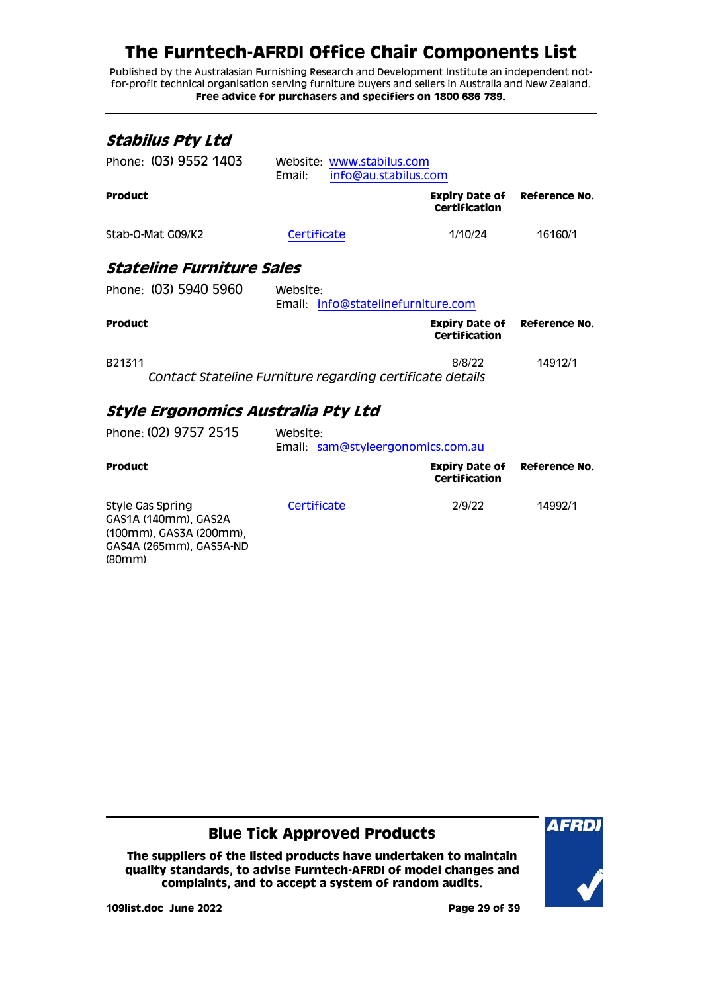Published by the Australasian Furnishing Research and Development Institute an independent notfor-profit technical organisation serving furniture buyers and sellers in Australia and New Zealand. **Free advice for purchasers and specifiers on 1800 686 789.**

<span id="page-28-1"></span><span id="page-28-0"></span>

| Stabilus Pty Ltd                        |                                                             |                                        |               |
|-----------------------------------------|-------------------------------------------------------------|----------------------------------------|---------------|
| Phone: (03) 9552 1403                   | Website: www.stabilus.com<br>Email:<br>info@au.stabilus.com |                                        |               |
| <b>Product</b>                          |                                                             | <b>Expiry Date of</b><br>Certification | Reference No. |
| Stab-O-Mat G09/K2                       | Certificate                                                 | 1/10/24                                | 16160/1       |
| <i><b>Stateline Furniture Sales</b></i> |                                                             |                                        |               |
| Phone: (03) 5940 5960                   | Website:<br>Email: info@statelinefurniture.com              |                                        |               |
| <b>Product</b>                          |                                                             | Expiry Date of<br><b>Certification</b> | Reference No. |
| B21311                                  | Contact Stateline Furniture regarding certificate details   | 8/8/22                                 | 14912/1       |
| Style Ergonomics Australia Pty Ltd      |                                                             |                                        |               |
| Phone: (02) 9757 2515                   | Website:<br>Email: sam@styleergonomics.com.au               |                                        |               |
| <b>Product</b>                          |                                                             | <b>Expiry Date of</b><br>Certification | Reference No. |

<span id="page-28-2"></span>Style Gas Spring GAS1A (140mm), GAS2A (100mm), GAS3A (200mm), GAS4A (265mm), GAS5A-ND (80mm) [Certificate](http://www.furntech.org.au/fs/index.php?dir=14000/14900/&file=14992-1_191112_ct.pdf) 2/9/22 14992/1

**Blue Tick Approved Products**

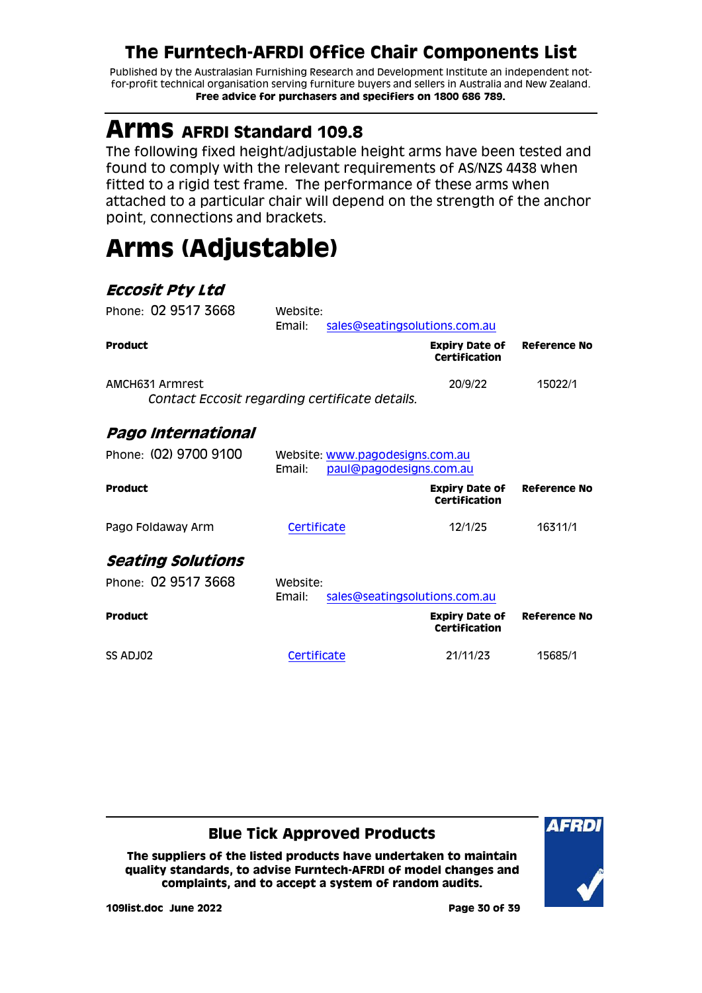Published by the Australasian Furnishing Research and Development Institute an independent notfor-profit technical organisation serving furniture buyers and sellers in Australia and New Zealand. **Free advice for purchasers and specifiers on 1800 686 789.**

# <span id="page-29-0"></span>**Arms AFRDI Standard 109.8**

The following fixed height/adjustable height arms have been tested and found to comply with the relevant requirements of AS/NZS 4438 when fitted to a rigid test frame. The performance of these arms when attached to a particular chair will depend on the strength of the anchor point, connections and brackets.

# <span id="page-29-1"></span>**Arms (Adjustable)**

### <span id="page-29-2"></span>**Eccosit Pty Ltd**

<span id="page-29-4"></span><span id="page-29-3"></span>

| Phone: 02 9517 3668                                               | Website:<br>Email: | sales@seatingsolutions.com.au                              |                                               |                     |
|-------------------------------------------------------------------|--------------------|------------------------------------------------------------|-----------------------------------------------|---------------------|
| <b>Product</b>                                                    |                    |                                                            | <b>Expiry Date of</b><br><b>Certification</b> | Reference No        |
| AMCH631 Armrest<br>Contact Eccosit regarding certificate details. |                    |                                                            | 20/9/22                                       | 15022/1             |
| Pago International                                                |                    |                                                            |                                               |                     |
| Phone: (02) 9700 9100                                             | Email:             | Website: www.pagodesigns.com.au<br>paul@pagodesigns.com.au |                                               |                     |
| <b>Product</b>                                                    |                    |                                                            | <b>Expiry Date of</b><br>Certification        | Reference No        |
| Pago Foldaway Arm                                                 | Certificate        |                                                            | 12/1/25                                       | 16311/1             |
| <i>Seating Solutions</i>                                          |                    |                                                            |                                               |                     |
| Phone: 02 9517 3668                                               | Website:<br>Email: | sales@seatingsolutions.com.au                              |                                               |                     |
| <b>Product</b>                                                    |                    |                                                            | <b>Expiry Date of</b><br>Certification        | <b>Reference No</b> |
| SS ADJ02                                                          | Certificate        |                                                            | 21/11/23                                      | 15685/1             |

### **Blue Tick Approved Products**

**The suppliers of the listed products have undertaken to maintain quality standards, to advise Furntech-AFRDI of model changes and complaints, and to accept a system of random audits.**



**109list.doc June 2022 Page 30 of 39**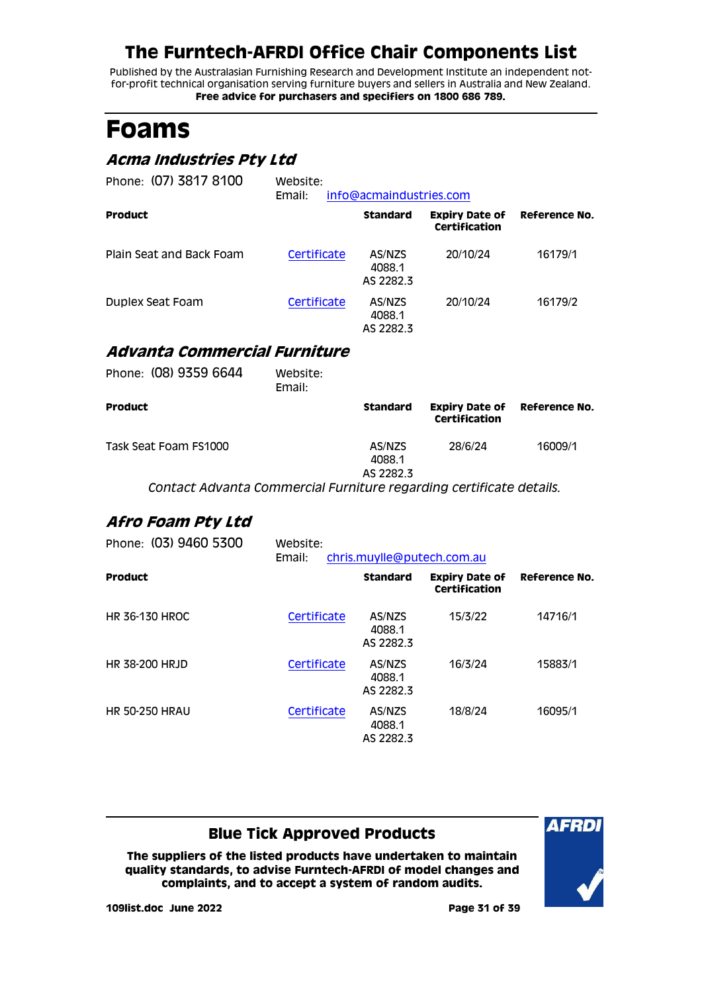Published by the Australasian Furnishing Research and Development Institute an independent notfor-profit technical organisation serving furniture buyers and sellers in Australia and New Zealand. **Free advice for purchasers and specifiers on 1800 686 789.**

# <span id="page-30-0"></span>**Foams**

### <span id="page-30-1"></span>**Acma Industries Pty Ltd**

| Phone: (07) 3817 8100    | Website:<br>Email: | info@acmaindustries.com       |                                        |               |
|--------------------------|--------------------|-------------------------------|----------------------------------------|---------------|
| <b>Product</b>           |                    | <b>Standard</b>               | <b>Expiry Date of</b><br>Certification | Reference No. |
| Plain Seat and Back Foam | Certificate        | AS/NZS<br>4088.1<br>AS 2282.3 | 20/10/24                               | 16179/1       |
| Duplex Seat Foam         | Certificate        | AS/NZS<br>4088.1<br>AS 2282.3 | 20/10/24                               | 16179/2       |

### <span id="page-30-2"></span>**Advanta Commercial Furniture**

| Phone: (08) 9359 6644                                              | Website:<br>Email: |                               |                                        |               |
|--------------------------------------------------------------------|--------------------|-------------------------------|----------------------------------------|---------------|
| <b>Product</b>                                                     |                    | <b>Standard</b>               | <b>Expiry Date of</b><br>Certification | Reference No. |
| Task Seat Foam FS1000                                              |                    | AS/NZS<br>4088.1<br>AS 2282.3 | 28/6/24                                | 16009/1       |
| Contact Advanta Commercial Eurniture regarding certificate details |                    |                               |                                        |               |

*Contact Advanta Commercial Furniture regarding certificate details.*

### <span id="page-30-3"></span>**Afro Foam Pty Ltd**

| Phone: (03) 9460 5300 | Website:<br>chris.muylle@putech.com.au<br>Email: |                               |                                        |               |
|-----------------------|--------------------------------------------------|-------------------------------|----------------------------------------|---------------|
| <b>Product</b>        |                                                  | <b>Standard</b>               | <b>Expiry Date of</b><br>Certification | Reference No. |
| <b>HR 36-130 HROC</b> | Certificate                                      | AS/NZS<br>4088.1<br>AS 2282.3 | 15/3/22                                | 14716/1       |
| <b>HR 38-200 HRJD</b> | Certificate                                      | AS/NZS<br>4088.1<br>AS 2282.3 | 16/3/24                                | 15883/1       |
| <b>HR 50-250 HRAU</b> | Certificate                                      | AS/NZS<br>4088.1<br>AS 2282.3 | 18/8/24                                | 16095/1       |

### **Blue Tick Approved Products**

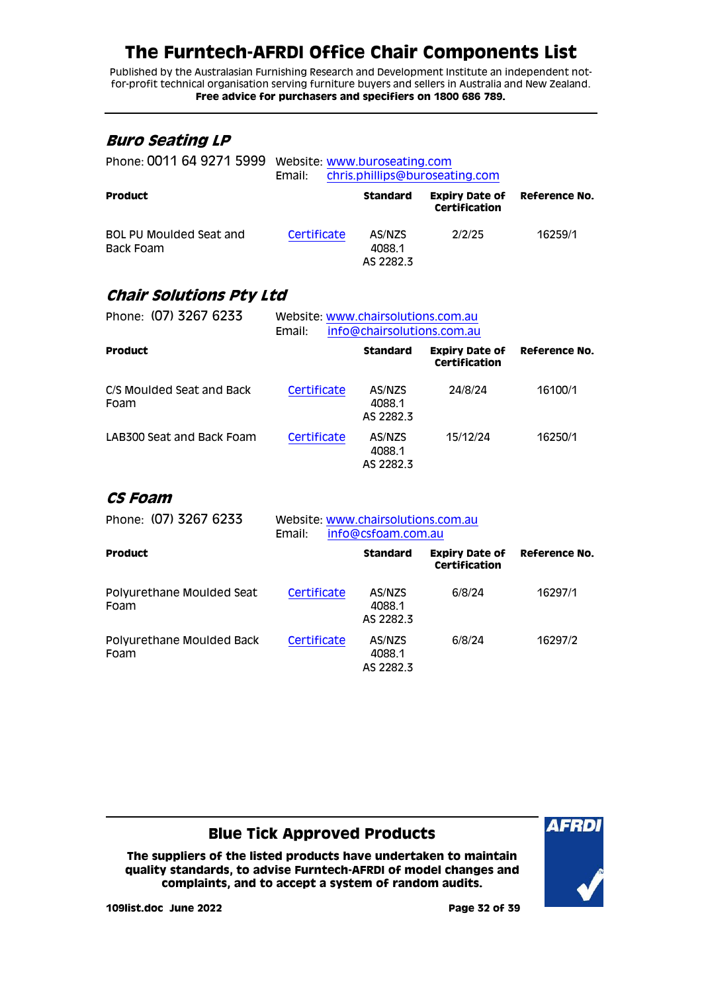Published by the Australasian Furnishing Research and Development Institute an independent notfor-profit technical organisation serving furniture buyers and sellers in Australia and New Zealand. **Free advice for purchasers and specifiers on 1800 686 789.**

#### <span id="page-31-0"></span>**Buro Seating LP**

| Phone: 0011 64 9271 5999             | Website: www.buroseating.com<br>Email: |                               | chris.phillips@buroseating.com         |               |
|--------------------------------------|----------------------------------------|-------------------------------|----------------------------------------|---------------|
| <b>Product</b>                       |                                        | <b>Standard</b>               | <b>Expiry Date of</b><br>Certification | Reference No. |
| BOL PU Moulded Seat and<br>Back Foam | Certificate                            | AS/NZS<br>4088.1<br>AS 2282.3 | 2/2/25                                 | 16259/1       |

### <span id="page-31-1"></span>**Chair Solutions Pty Ltd**

| Phone: (07) 3267 6233             | Website: www.chairsolutions.com.au<br>info@chairsolutions.com.au<br>Email: |                               |                                        |               |
|-----------------------------------|----------------------------------------------------------------------------|-------------------------------|----------------------------------------|---------------|
| <b>Product</b>                    |                                                                            | <b>Standard</b>               | <b>Expiry Date of</b><br>Certification | Reference No. |
| C/S Moulded Seat and Back<br>Foam | Certificate                                                                | AS/NZS<br>4088.1<br>AS 2282.3 | 24/8/24                                | 16100/1       |
| LAB300 Seat and Back Foam         | Certificate                                                                | AS/NZS<br>4088.1<br>AS 2282.3 | 15/12/24                               | 16250/1       |

#### <span id="page-31-2"></span>**CS Foam**

| Phone: (07) 3267 6233             | Website: www.chairsolutions.com.au<br>info@csfoam.com.au<br>Email: |                               |                                        |               |
|-----------------------------------|--------------------------------------------------------------------|-------------------------------|----------------------------------------|---------------|
| <b>Product</b>                    |                                                                    | <b>Standard</b>               | <b>Expiry Date of</b><br>Certification | Reference No. |
| Polyurethane Moulded Seat<br>Foam | Certificate                                                        | AS/NZS<br>4088.1<br>AS 2282.3 | 6/8/24                                 | 16297/1       |
| Polyurethane Moulded Back<br>Foam | Certificate                                                        | AS/NZS<br>4088.1<br>AS 2282.3 | 6/8/24                                 | 16297/2       |

### **Blue Tick Approved Products**

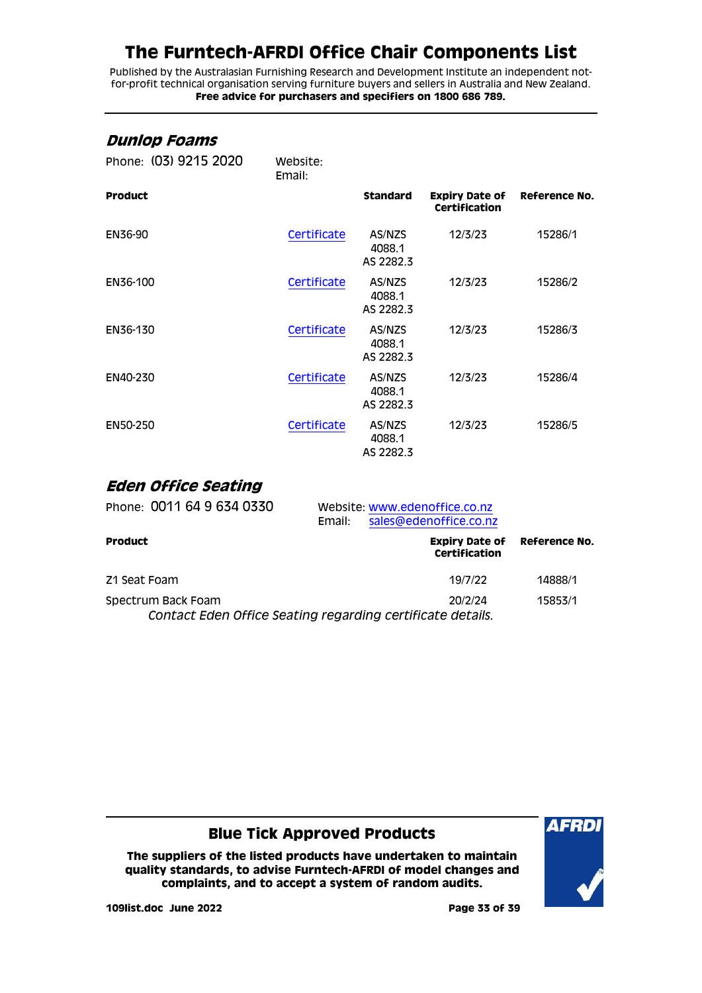Published by the Australasian Furnishing Research and Development Institute an independent notfor-profit technical organisation serving furniture buyers and sellers in Australia and New Zealand. **Free advice for purchasers and specifiers on 1800 686 789.**

#### <span id="page-32-0"></span>**Dunlop Foams**

| Phone: (03) 9215 2020 | Website:<br>Email: |                               |                                                             |         |
|-----------------------|--------------------|-------------------------------|-------------------------------------------------------------|---------|
| <b>Product</b>        |                    | <b>Standard</b>               | <b>Expiry Date of Reference No.</b><br><b>Certification</b> |         |
| EN36-90               | Certificate        | AS/NZS<br>4088.1<br>AS 2282.3 | 12/3/23                                                     | 15286/1 |
| EN36-100              | Certificate        | AS/NZS<br>4088.1<br>AS 2282.3 | 12/3/23                                                     | 15286/2 |
| EN36-130              | Certificate        | AS/NZS<br>4088.1<br>AS 2282.3 | 12/3/23                                                     | 15286/3 |
| EN40-230              | Certificate        | AS/NZS<br>4088.1<br>AS 2282.3 | 12/3/23                                                     | 15286/4 |
| EN50-250              | Certificate        | AS/NZS<br>4088.1<br>AS 2282.3 | 12/3/23                                                     | 15286/5 |

#### <span id="page-32-1"></span>**Eden Office Seating**

| Phone: 0011 64 9 634 0330                                                        | Email: | Website: www.edenoffice.co.nz<br>sales@edenoffice.co.nz |               |
|----------------------------------------------------------------------------------|--------|---------------------------------------------------------|---------------|
| <b>Product</b>                                                                   |        | <b>Expiry Date of</b><br>Certification                  | Reference No. |
| Z1 Seat Foam                                                                     |        | 19/7/22                                                 | 14888/1       |
| Spectrum Back Foam<br>Contact Eden Office Seating regarding certificate details. |        | 20/2/24                                                 | 15853/1       |

#### **Blue Tick Approved Products**

**The suppliers of the listed products have undertaken to maintain quality standards, to advise Furntech-AFRDI of model changes and complaints, and to accept a system of random audits.**



**109list.doc June 2022 Page 33 of 39**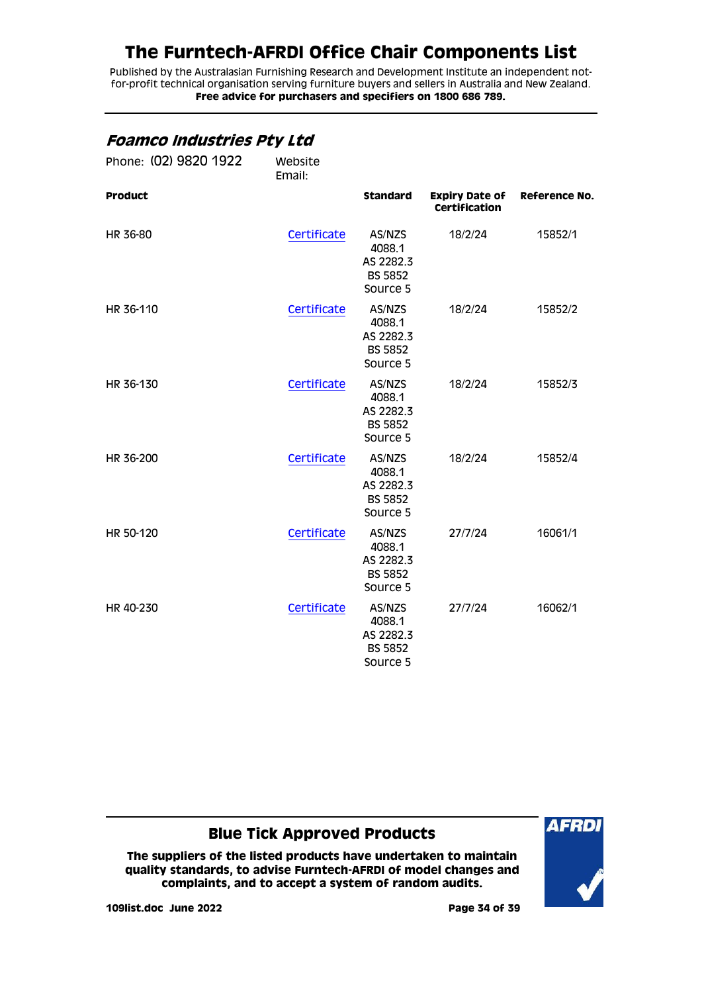Published by the Australasian Furnishing Research and Development Institute an independent notfor-profit technical organisation serving furniture buyers and sellers in Australia and New Zealand. **Free advice for purchasers and specifiers on 1800 686 789.**

### <span id="page-33-0"></span>**Foamco Industries Pty Ltd**

| Phone: (02) 9820 1922 | Website<br>Email: |                                                             |                                               |               |
|-----------------------|-------------------|-------------------------------------------------------------|-----------------------------------------------|---------------|
| <b>Product</b>        |                   | <b>Standard</b>                                             | <b>Expiry Date of</b><br><b>Certification</b> | Reference No. |
| HR 36-80              | Certificate       | AS/NZS<br>4088.1<br>AS 2282.3<br><b>BS 5852</b><br>Source 5 | 18/2/24                                       | 15852/1       |
| HR 36-110             | Certificate       | AS/NZS<br>4088.1<br>AS 2282.3<br><b>BS 5852</b><br>Source 5 | 18/2/24                                       | 15852/2       |
| HR 36-130             | Certificate       | AS/NZS<br>4088.1<br>AS 2282.3<br><b>BS 5852</b><br>Source 5 | 18/2/24                                       | 15852/3       |
| HR 36-200             | Certificate       | AS/NZS<br>4088.1<br>AS 2282.3<br><b>BS 5852</b><br>Source 5 | 18/2/24                                       | 15852/4       |
| HR 50-120             | Certificate       | AS/NZS<br>4088.1<br>AS 2282.3<br><b>BS 5852</b><br>Source 5 | 27/7/24                                       | 16061/1       |
| HR 40-230             | Certificate       | AS/NZS<br>4088.1<br>AS 2282.3<br><b>BS 5852</b><br>Source 5 | 27/7/24                                       | 16062/1       |

### **Blue Tick Approved Products**

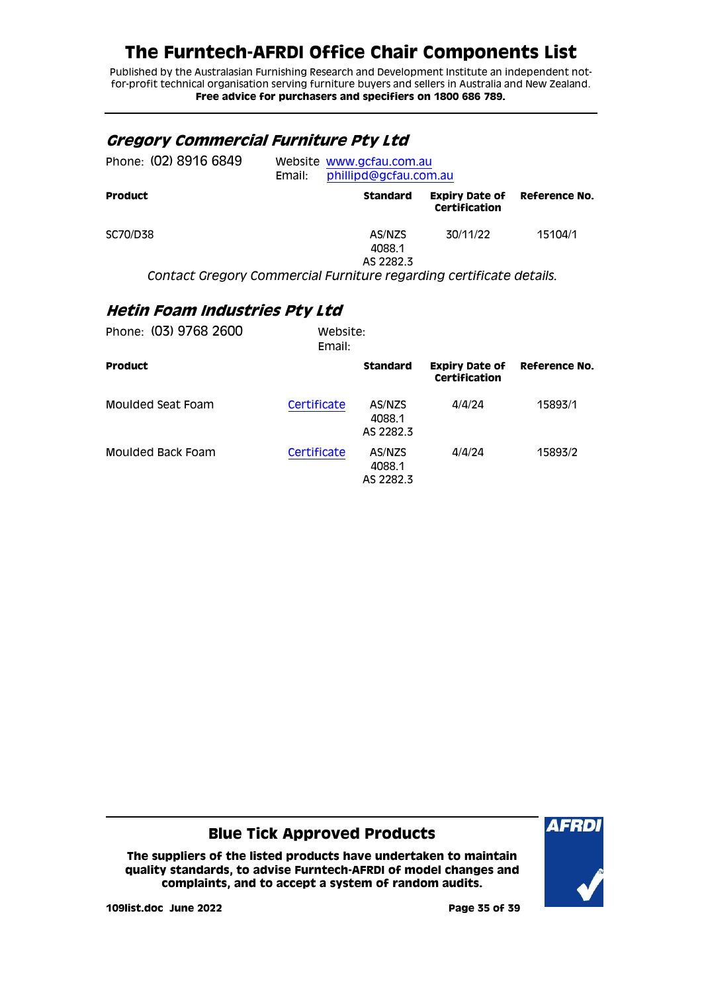Published by the Australasian Furnishing Research and Development Institute an independent notfor-profit technical organisation serving furniture buyers and sellers in Australia and New Zealand. **Free advice for purchasers and specifiers on 1800 686 789.**

#### <span id="page-34-0"></span>**Gregory Commercial Furniture Pty Ltd**

| Phone: (02) 8916 6849 | Email: | Website www.gcfau.com.au<br>phillipd@gcfau.com.au |                                        |               |  |
|-----------------------|--------|---------------------------------------------------|----------------------------------------|---------------|--|
| <b>Product</b>        |        | <b>Standard</b>                                   | <b>Expiry Date of</b><br>Certification | Reference No. |  |
| SC70/D38              |        | AS/NZS<br>4088.1<br>AS 2282.3                     | 30/11/22                               | 15104/1       |  |

*Contact Gregory Commercial Furniture regarding certificate details.*

### <span id="page-34-1"></span>**Hetin Foam Industries Pty Ltd**

| Phone: (03) 9768 2600 | Website:<br>Email: |                               |                                        |               |
|-----------------------|--------------------|-------------------------------|----------------------------------------|---------------|
| <b>Product</b>        |                    | <b>Standard</b>               | <b>Expiry Date of</b><br>Certification | Reference No. |
| Moulded Seat Foam     | Certificate        | AS/NZS<br>4088.1<br>AS 2282.3 | 4/4/24                                 | 15893/1       |
| Moulded Back Foam     | Certificate        | AS/NZS<br>4088.1<br>AS 2282.3 | 4/4/24                                 | 15893/2       |

#### **Blue Tick Approved Products**

**The suppliers of the listed products have undertaken to maintain quality standards, to advise Furntech-AFRDI of model changes and complaints, and to accept a system of random audits.**



**109list.doc June 2022 Page 35 of 39**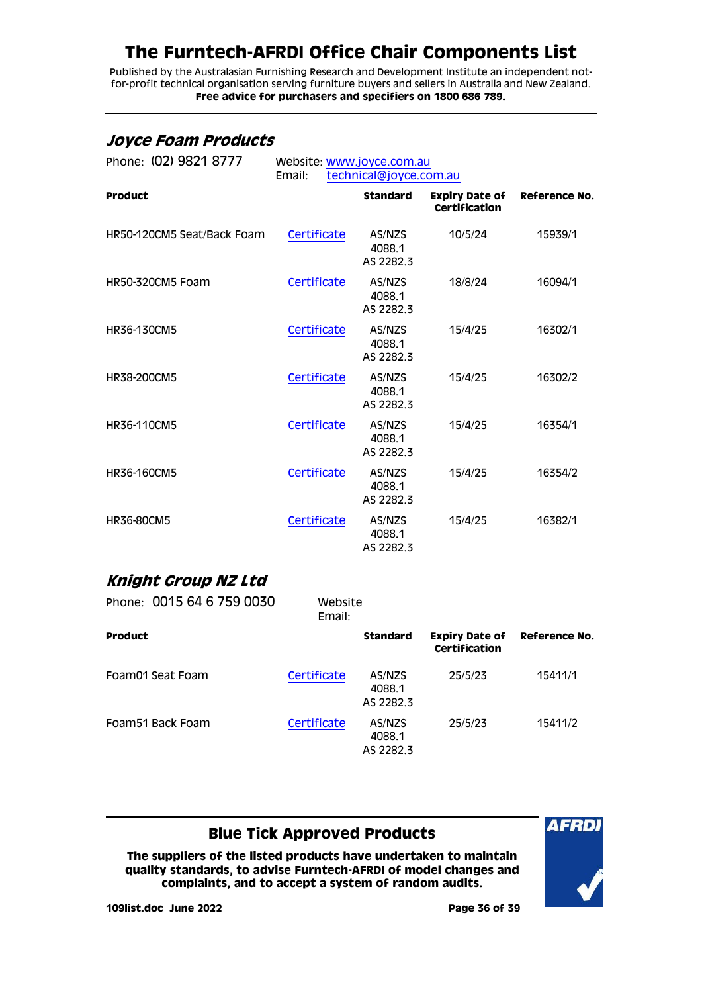Published by the Australasian Furnishing Research and Development Institute an independent notfor-profit technical organisation serving furniture buyers and sellers in Australia and New Zealand. **Free advice for purchasers and specifiers on 1800 686 789.**

#### <span id="page-35-0"></span>**Joyce Foam Products**

| Phone: (02) 9821 8777      | Website: www.joyce.com.au<br>Email:<br>technical@joyce.com.au |                               |                                        |               |  |
|----------------------------|---------------------------------------------------------------|-------------------------------|----------------------------------------|---------------|--|
| <b>Product</b>             |                                                               | <b>Standard</b>               | <b>Expiry Date of</b><br>Certification | Reference No. |  |
| HR50-120CM5 Seat/Back Foam | Certificate                                                   | AS/NZS<br>4088.1<br>AS 2282.3 | 10/5/24                                | 15939/1       |  |
| <b>HR50-320CM5 Foam</b>    | Certificate                                                   | AS/NZS<br>4088.1<br>AS 2282.3 | 18/8/24                                | 16094/1       |  |
| HR36-130CM5                | Certificate                                                   | AS/NZS<br>4088.1<br>AS 2282.3 | 15/4/25                                | 16302/1       |  |
| HR38-200CM5                | Certificate                                                   | AS/NZS<br>4088.1<br>AS 2282.3 | 15/4/25                                | 16302/2       |  |
| HR36-110CM5                | Certificate                                                   | AS/NZS<br>4088.1<br>AS 2282.3 | 15/4/25                                | 16354/1       |  |
| HR36-160CM5                | Certificate                                                   | AS/NZS<br>4088.1<br>AS 2282.3 | 15/4/25                                | 16354/2       |  |
| <b>HR36-80CM5</b>          | Certificate                                                   | AS/NZS<br>4088.1<br>AS 2282.3 | 15/4/25                                | 16382/1       |  |
|                            |                                                               |                               |                                        |               |  |

#### <span id="page-35-1"></span>**Knight Group NZ Ltd**

| Phone: 0015 64 6 759 0030 | Website<br>Email: |                               |                                        |               |
|---------------------------|-------------------|-------------------------------|----------------------------------------|---------------|
| <b>Product</b>            |                   | <b>Standard</b>               | <b>Expiry Date of</b><br>Certification | Reference No. |
| Foam01 Seat Foam          | Certificate       | AS/NZS<br>4088.1<br>AS 2282.3 | 25/5/23                                | 15411/1       |
| Foam 51 Back Foam         | Certificate       | AS/NZS<br>4088.1<br>AS 2282.3 | 25/5/23                                | 15411/2       |

### **Blue Tick Approved Products**

**The suppliers of the listed products have undertaken to maintain quality standards, to advise Furntech-AFRDI of model changes and complaints, and to accept a system of random audits.**



**109list.doc June 2022 Page 36 of 39**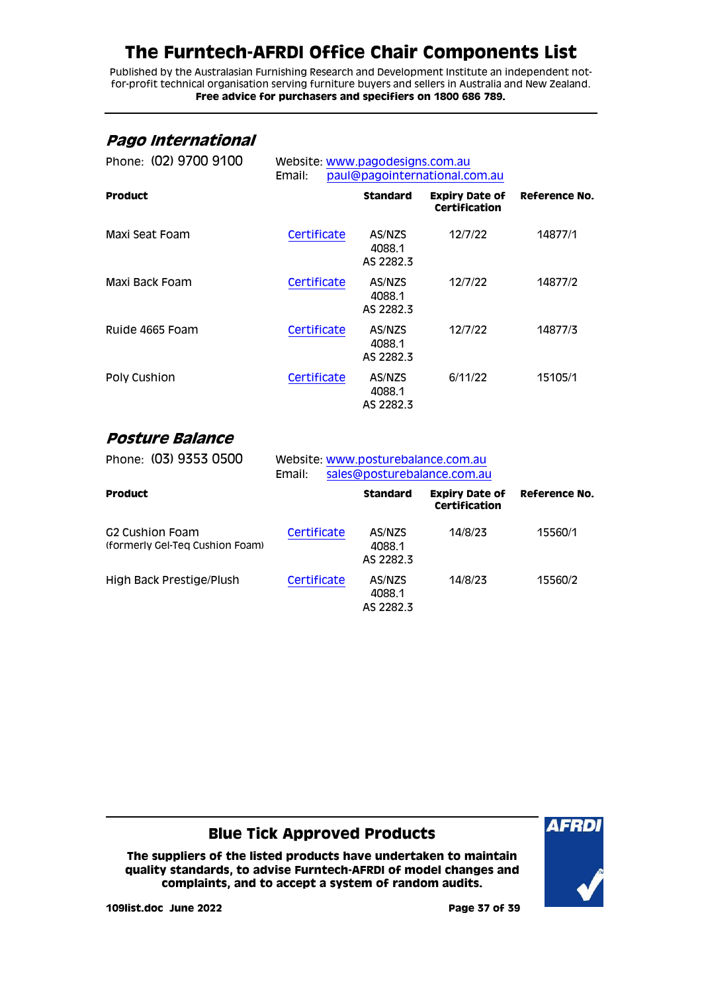Published by the Australasian Furnishing Research and Development Institute an independent notfor-profit technical organisation serving furniture buyers and sellers in Australia and New Zealand. **Free advice for purchasers and specifiers on 1800 686 789.**

#### <span id="page-36-0"></span>**Pago International**

| Phone: (02) 9700 9100 | Website: www.pagodesigns.com.au<br>paul@pagointernational.com.au<br>Email: |                               |                                        |               |
|-----------------------|----------------------------------------------------------------------------|-------------------------------|----------------------------------------|---------------|
| <b>Product</b>        |                                                                            | <b>Standard</b>               | <b>Expiry Date of</b><br>Certification | Reference No. |
| Maxi Seat Foam        | Certificate                                                                | AS/NZS<br>4088.1<br>AS 2282.3 | 12/7/22                                | 14877/1       |
| Maxi Back Foam        | Certificate                                                                | AS/NZS<br>4088.1<br>AS 2282.3 | 12/7/22                                | 14877/2       |
| Ruide 4665 Foam       | Certificate                                                                | AS/NZS<br>4088.1<br>AS 2282.3 | 12/7/22                                | 14877/3       |
| Poly Cushion          | Certificate                                                                | AS/NZS<br>4088.1<br>AS 2282.3 | 6/11/22                                | 15105/1       |

#### <span id="page-36-1"></span>**Posture Balance**

| Phone: (03) 9353 0500                                          | Website: www.posturebalance.com.au<br>sales@posturebalance.com.au<br>Email: |                               |                                        |               |
|----------------------------------------------------------------|-----------------------------------------------------------------------------|-------------------------------|----------------------------------------|---------------|
| <b>Product</b>                                                 |                                                                             | <b>Standard</b>               | <b>Expiry Date of</b><br>Certification | Reference No. |
| G <sub>2</sub> Cushion Foam<br>(formerly Gel-Teg Cushion Foam) | Certificate                                                                 | AS/NZS<br>4088.1<br>AS 2282.3 | 14/8/23                                | 15560/1       |
| High Back Prestige/Plush                                       | Certificate                                                                 | AS/NZS<br>4088.1<br>AS 2282.3 | 14/8/23                                | 15560/2       |

#### **Blue Tick Approved Products**

**The suppliers of the listed products have undertaken to maintain quality standards, to advise Furntech-AFRDI of model changes and complaints, and to accept a system of random audits.**



**109list.doc June 2022 Page 37 of 39**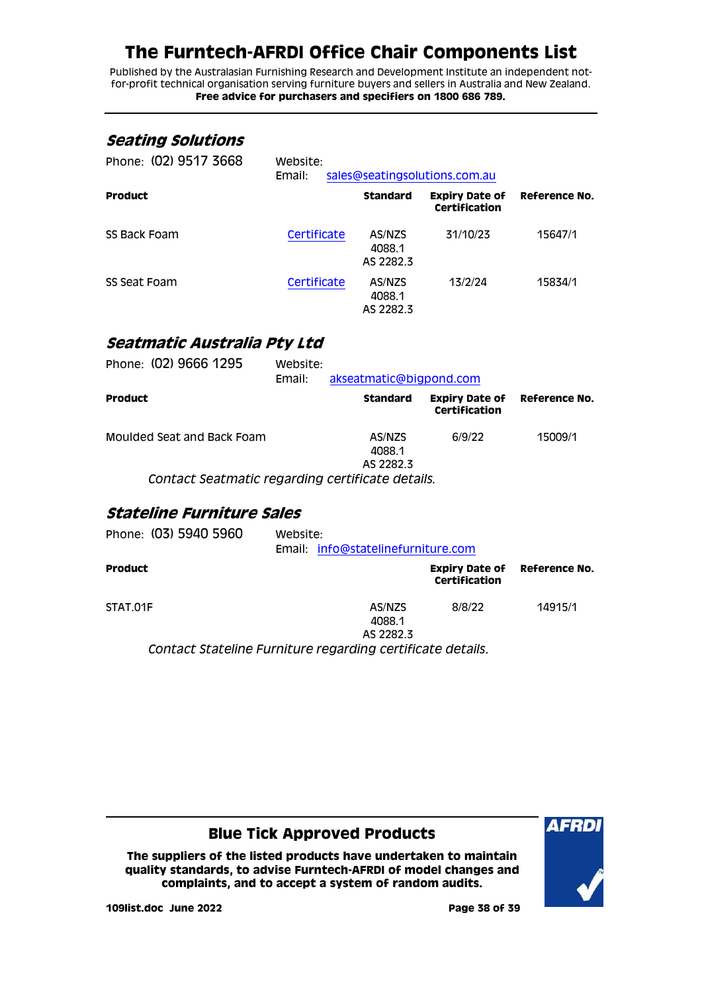Published by the Australasian Furnishing Research and Development Institute an independent notfor-profit technical organisation serving furniture buyers and sellers in Australia and New Zealand. **Free advice for purchasers and specifiers on 1800 686 789.**

#### <span id="page-37-0"></span>**Seating Solutions**

| Phone: (02) 9517 3668 | Website:<br>sales@seatingsolutions.com.au<br>Email: |                               |                                               |               |  |
|-----------------------|-----------------------------------------------------|-------------------------------|-----------------------------------------------|---------------|--|
| <b>Product</b>        |                                                     | <b>Standard</b>               | <b>Expiry Date of</b><br><b>Certification</b> | Reference No. |  |
| SS Back Foam          | Certificate                                         | AS/NZS<br>4088.1<br>AS 2282.3 | 31/10/23                                      | 15647/1       |  |
| SS Seat Foam          | Certificate                                         | AS/NZS<br>4088.1<br>AS 2282.3 | 13/2/24                                       | 15834/1       |  |

#### <span id="page-37-1"></span>**Seatmatic Australia Pty Ltd**

| Phone: (02) 9666 1295                            | Website:<br>Email: | akseatmatic@bigpond.com       |                                        |               |
|--------------------------------------------------|--------------------|-------------------------------|----------------------------------------|---------------|
| <b>Product</b>                                   |                    | <b>Standard</b>               | <b>Expiry Date of</b><br>Certification | Reference No. |
| Moulded Seat and Back Foam                       |                    | AS/NZS<br>4088.1<br>AS 2282.3 | 6/9/22                                 | 15009/1       |
| Contact Seatmatic regarding certificate details. |                    |                               |                                        |               |

#### <span id="page-37-2"></span>**Stateline Furniture Sales**

| Phone: (03) 5940 5960 | Website:<br>Email: info@statelinefurniture.com             |                                               |               |
|-----------------------|------------------------------------------------------------|-----------------------------------------------|---------------|
| <b>Product</b>        |                                                            | <b>Expiry Date of</b><br><b>Certification</b> | Reference No. |
| STAT.01F              | AS/NZS<br>4088.1<br>AS 2282.3                              | 8/8/22                                        | 14915/1       |
|                       | Contact Stateline Furniture regarding certificate details. |                                               |               |

#### **Blue Tick Approved Products**

**The suppliers of the listed products have undertaken to maintain quality standards, to advise Furntech-AFRDI of model changes and complaints, and to accept a system of random audits.**



**109list.doc June 2022 Page 38 of 39**